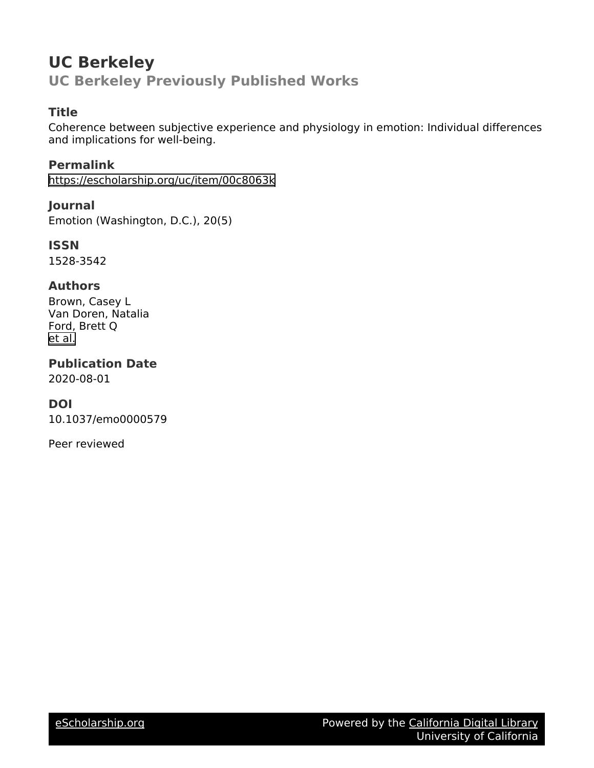# **UC Berkeley UC Berkeley Previously Published Works**

# **Title**

Coherence between subjective experience and physiology in emotion: Individual differences and implications for well-being.

**Permalink** <https://escholarship.org/uc/item/00c8063k>

**Journal** Emotion (Washington, D.C.), 20(5)

**ISSN** 1528-3542

# **Authors**

Brown, Casey L Van Doren, Natalia Ford, Brett Q [et al.](https://escholarship.org/uc/item/00c8063k#author)

**Publication Date** 2020-08-01

# **DOI**

10.1037/emo0000579

Peer reviewed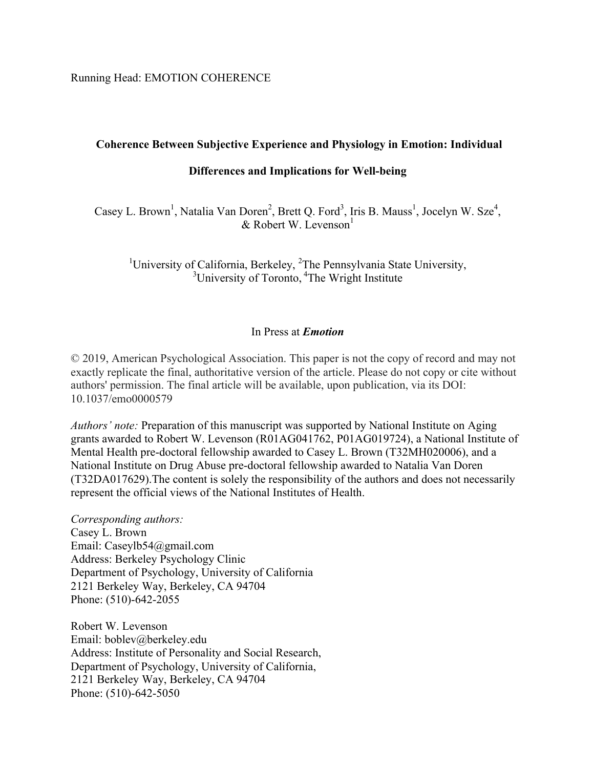Running Head: EMOTION COHERENCE

# **Coherence Between Subjective Experience and Physiology in Emotion: Individual**

# **Differences and Implications for Well-being**

Casey L. Brown<sup>1</sup>, Natalia Van Doren<sup>2</sup>, Brett Q. Ford<sup>3</sup>, Iris B. Mauss<sup>1</sup>, Jocelyn W. Sze<sup>4</sup>, & Robert W. Levenson $<sup>1</sup>$ </sup>

<sup>1</sup>University of California, Berkeley, <sup>2</sup>The Pennsylvania State University,  $3\frac{3}{2}$ University of Toronto, <sup>4</sup>The Wright Institute

## In Press at *Emotion*

© 2019, American Psychological Association. This paper is not the copy of record and may not exactly replicate the final, authoritative version of the article. Please do not copy or cite without authors' permission. The final article will be available, upon publication, via its DOI: 10.1037/emo0000579

*Authors' note:* Preparation of this manuscript was supported by National Institute on Aging grants awarded to Robert W. Levenson (R01AG041762, P01AG019724), a National Institute of Mental Health pre-doctoral fellowship awarded to Casey L. Brown (T32MH020006), and a National Institute on Drug Abuse pre-doctoral fellowship awarded to Natalia Van Doren (T32DA017629).The content is solely the responsibility of the authors and does not necessarily represent the official views of the National Institutes of Health.

*Corresponding authors:* Casey L. Brown Email: Caseylb54@gmail.com Address: Berkeley Psychology Clinic Department of Psychology, University of California 2121 Berkeley Way, Berkeley, CA 94704 Phone: (510)-642-2055

Robert W. Levenson Email: boblev@berkeley.edu Address: Institute of Personality and Social Research, Department of Psychology, University of California, 2121 Berkeley Way, Berkeley, CA 94704 Phone: (510)-642-5050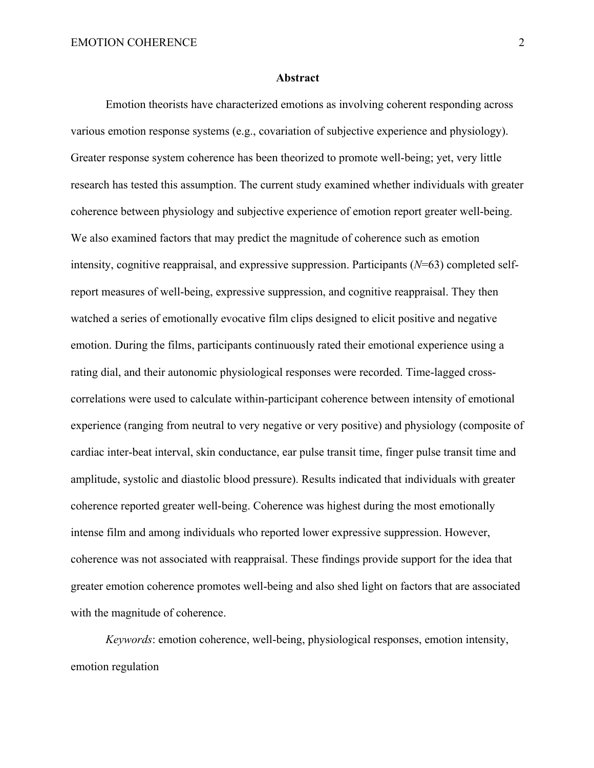#### **Abstract**

Emotion theorists have characterized emotions as involving coherent responding across various emotion response systems (e.g., covariation of subjective experience and physiology). Greater response system coherence has been theorized to promote well-being; yet, very little research has tested this assumption. The current study examined whether individuals with greater coherence between physiology and subjective experience of emotion report greater well-being. We also examined factors that may predict the magnitude of coherence such as emotion intensity, cognitive reappraisal, and expressive suppression. Participants (*N*=63) completed selfreport measures of well-being, expressive suppression, and cognitive reappraisal. They then watched a series of emotionally evocative film clips designed to elicit positive and negative emotion. During the films, participants continuously rated their emotional experience using a rating dial, and their autonomic physiological responses were recorded. Time-lagged crosscorrelations were used to calculate within-participant coherence between intensity of emotional experience (ranging from neutral to very negative or very positive) and physiology (composite of cardiac inter-beat interval, skin conductance, ear pulse transit time, finger pulse transit time and amplitude, systolic and diastolic blood pressure). Results indicated that individuals with greater coherence reported greater well-being. Coherence was highest during the most emotionally intense film and among individuals who reported lower expressive suppression. However, coherence was not associated with reappraisal. These findings provide support for the idea that greater emotion coherence promotes well-being and also shed light on factors that are associated with the magnitude of coherence.

*Keywords*: emotion coherence, well-being, physiological responses, emotion intensity, emotion regulation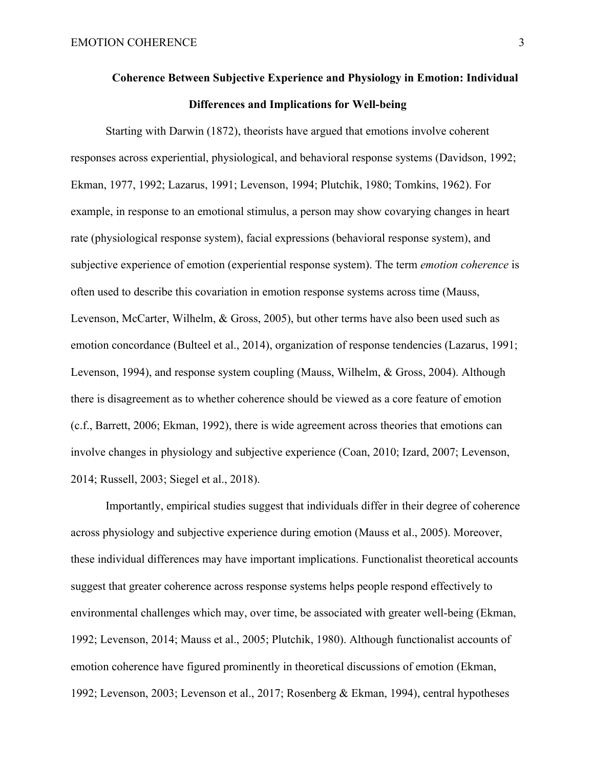# **Coherence Between Subjective Experience and Physiology in Emotion: Individual Differences and Implications for Well-being**

Starting with Darwin (1872), theorists have argued that emotions involve coherent responses across experiential, physiological, and behavioral response systems (Davidson, 1992; Ekman, 1977, 1992; Lazarus, 1991; Levenson, 1994; Plutchik, 1980; Tomkins, 1962). For example, in response to an emotional stimulus, a person may show covarying changes in heart rate (physiological response system), facial expressions (behavioral response system), and subjective experience of emotion (experiential response system). The term *emotion coherence* is often used to describe this covariation in emotion response systems across time (Mauss, Levenson, McCarter, Wilhelm, & Gross, 2005), but other terms have also been used such as emotion concordance (Bulteel et al., 2014), organization of response tendencies (Lazarus, 1991; Levenson, 1994), and response system coupling (Mauss, Wilhelm, & Gross, 2004). Although there is disagreement as to whether coherence should be viewed as a core feature of emotion (c.f., Barrett, 2006; Ekman, 1992), there is wide agreement across theories that emotions can involve changes in physiology and subjective experience (Coan, 2010; Izard, 2007; Levenson, 2014; Russell, 2003; Siegel et al., 2018).

Importantly, empirical studies suggest that individuals differ in their degree of coherence across physiology and subjective experience during emotion (Mauss et al., 2005). Moreover, these individual differences may have important implications. Functionalist theoretical accounts suggest that greater coherence across response systems helps people respond effectively to environmental challenges which may, over time, be associated with greater well-being (Ekman, 1992; Levenson, 2014; Mauss et al., 2005; Plutchik, 1980). Although functionalist accounts of emotion coherence have figured prominently in theoretical discussions of emotion (Ekman, 1992; Levenson, 2003; Levenson et al., 2017; Rosenberg & Ekman, 1994), central hypotheses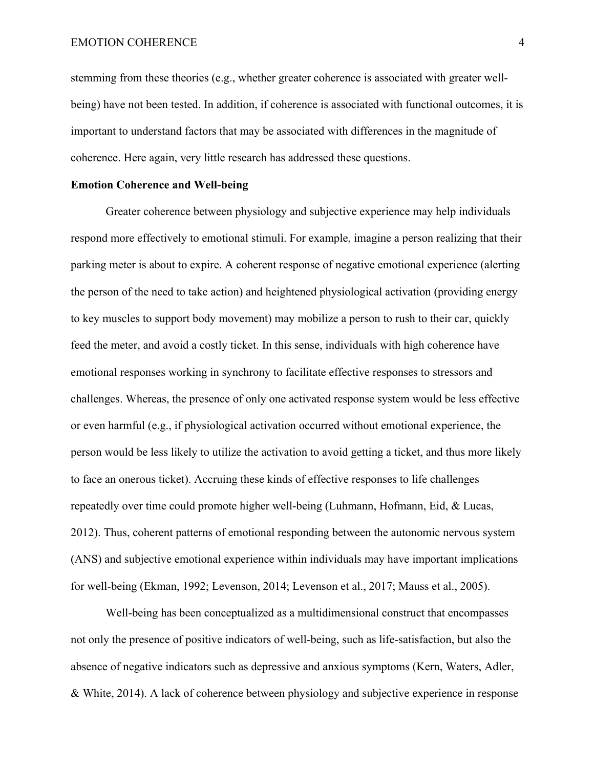stemming from these theories (e.g., whether greater coherence is associated with greater wellbeing) have not been tested. In addition, if coherence is associated with functional outcomes, it is important to understand factors that may be associated with differences in the magnitude of coherence. Here again, very little research has addressed these questions.

#### **Emotion Coherence and Well-being**

Greater coherence between physiology and subjective experience may help individuals respond more effectively to emotional stimuli. For example, imagine a person realizing that their parking meter is about to expire. A coherent response of negative emotional experience (alerting the person of the need to take action) and heightened physiological activation (providing energy to key muscles to support body movement) may mobilize a person to rush to their car, quickly feed the meter, and avoid a costly ticket. In this sense, individuals with high coherence have emotional responses working in synchrony to facilitate effective responses to stressors and challenges. Whereas, the presence of only one activated response system would be less effective or even harmful (e.g., if physiological activation occurred without emotional experience, the person would be less likely to utilize the activation to avoid getting a ticket, and thus more likely to face an onerous ticket). Accruing these kinds of effective responses to life challenges repeatedly over time could promote higher well-being (Luhmann, Hofmann, Eid, & Lucas, 2012). Thus, coherent patterns of emotional responding between the autonomic nervous system (ANS) and subjective emotional experience within individuals may have important implications for well-being (Ekman, 1992; Levenson, 2014; Levenson et al., 2017; Mauss et al., 2005).

Well-being has been conceptualized as a multidimensional construct that encompasses not only the presence of positive indicators of well-being, such as life-satisfaction, but also the absence of negative indicators such as depressive and anxious symptoms (Kern, Waters, Adler, & White, 2014). A lack of coherence between physiology and subjective experience in response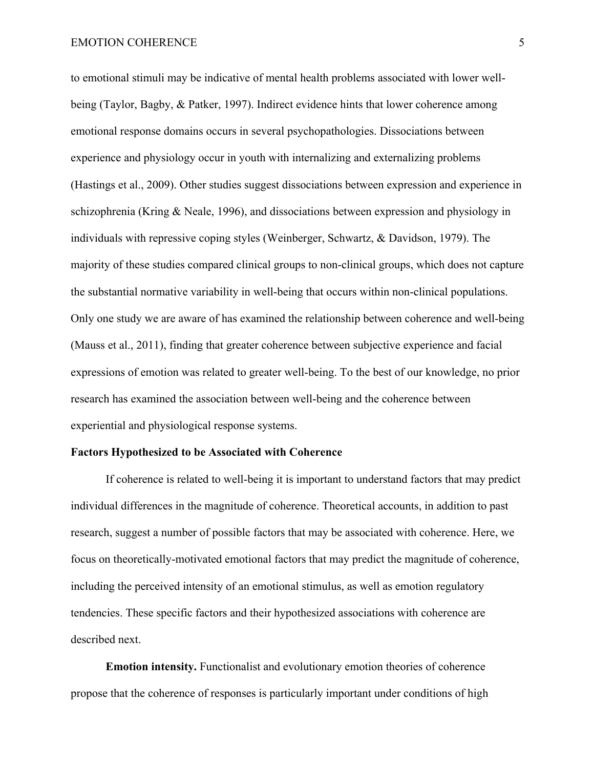#### EMOTION COHERENCE 5

to emotional stimuli may be indicative of mental health problems associated with lower wellbeing (Taylor, Bagby, & Patker, 1997). Indirect evidence hints that lower coherence among emotional response domains occurs in several psychopathologies. Dissociations between experience and physiology occur in youth with internalizing and externalizing problems (Hastings et al., 2009). Other studies suggest dissociations between expression and experience in schizophrenia (Kring & Neale, 1996), and dissociations between expression and physiology in individuals with repressive coping styles (Weinberger, Schwartz, & Davidson, 1979). The majority of these studies compared clinical groups to non-clinical groups, which does not capture the substantial normative variability in well-being that occurs within non-clinical populations. Only one study we are aware of has examined the relationship between coherence and well-being (Mauss et al., 2011), finding that greater coherence between subjective experience and facial expressions of emotion was related to greater well-being. To the best of our knowledge, no prior research has examined the association between well-being and the coherence between experiential and physiological response systems.

#### **Factors Hypothesized to be Associated with Coherence**

If coherence is related to well-being it is important to understand factors that may predict individual differences in the magnitude of coherence. Theoretical accounts, in addition to past research, suggest a number of possible factors that may be associated with coherence. Here, we focus on theoretically-motivated emotional factors that may predict the magnitude of coherence, including the perceived intensity of an emotional stimulus, as well as emotion regulatory tendencies. These specific factors and their hypothesized associations with coherence are described next.

**Emotion intensity.** Functionalist and evolutionary emotion theories of coherence propose that the coherence of responses is particularly important under conditions of high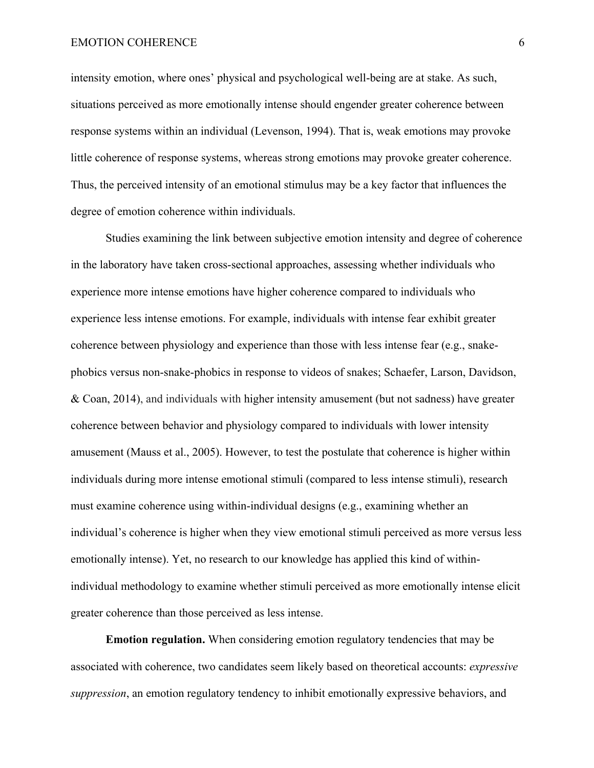intensity emotion, where ones' physical and psychological well-being are at stake. As such, situations perceived as more emotionally intense should engender greater coherence between response systems within an individual (Levenson, 1994). That is, weak emotions may provoke little coherence of response systems, whereas strong emotions may provoke greater coherence. Thus, the perceived intensity of an emotional stimulus may be a key factor that influences the degree of emotion coherence within individuals.

Studies examining the link between subjective emotion intensity and degree of coherence in the laboratory have taken cross-sectional approaches, assessing whether individuals who experience more intense emotions have higher coherence compared to individuals who experience less intense emotions. For example, individuals with intense fear exhibit greater coherence between physiology and experience than those with less intense fear (e.g., snakephobics versus non-snake-phobics in response to videos of snakes; Schaefer, Larson, Davidson, & Coan, 2014), and individuals with higher intensity amusement (but not sadness) have greater coherence between behavior and physiology compared to individuals with lower intensity amusement (Mauss et al., 2005). However, to test the postulate that coherence is higher within individuals during more intense emotional stimuli (compared to less intense stimuli), research must examine coherence using within-individual designs (e.g., examining whether an individual's coherence is higher when they view emotional stimuli perceived as more versus less emotionally intense). Yet, no research to our knowledge has applied this kind of withinindividual methodology to examine whether stimuli perceived as more emotionally intense elicit greater coherence than those perceived as less intense.

**Emotion regulation.** When considering emotion regulatory tendencies that may be associated with coherence, two candidates seem likely based on theoretical accounts: *expressive suppression*, an emotion regulatory tendency to inhibit emotionally expressive behaviors, and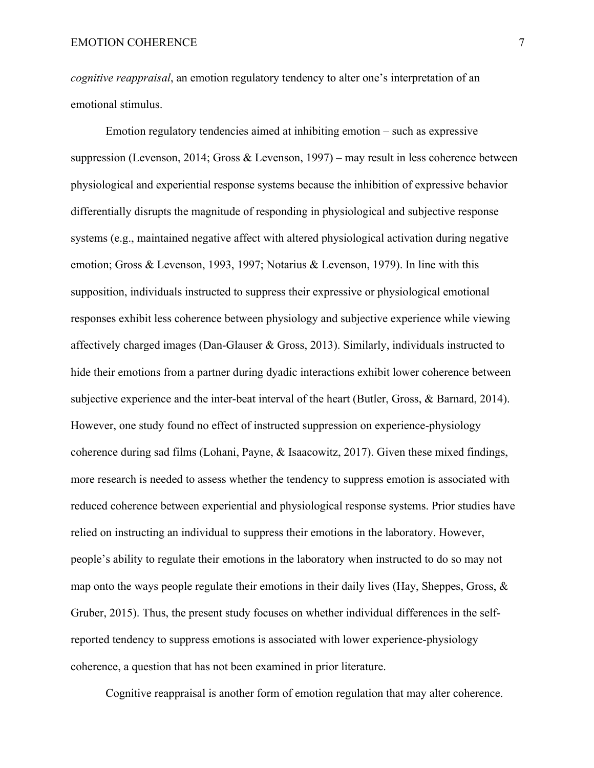*cognitive reappraisal*, an emotion regulatory tendency to alter one's interpretation of an emotional stimulus.

Emotion regulatory tendencies aimed at inhibiting emotion – such as expressive suppression (Levenson, 2014; Gross & Levenson, 1997) – may result in less coherence between physiological and experiential response systems because the inhibition of expressive behavior differentially disrupts the magnitude of responding in physiological and subjective response systems (e.g., maintained negative affect with altered physiological activation during negative emotion; Gross & Levenson, 1993, 1997; Notarius & Levenson, 1979). In line with this supposition, individuals instructed to suppress their expressive or physiological emotional responses exhibit less coherence between physiology and subjective experience while viewing affectively charged images (Dan-Glauser & Gross, 2013). Similarly, individuals instructed to hide their emotions from a partner during dyadic interactions exhibit lower coherence between subjective experience and the inter-beat interval of the heart (Butler, Gross, & Barnard, 2014). However, one study found no effect of instructed suppression on experience-physiology coherence during sad films (Lohani, Payne, & Isaacowitz, 2017). Given these mixed findings, more research is needed to assess whether the tendency to suppress emotion is associated with reduced coherence between experiential and physiological response systems. Prior studies have relied on instructing an individual to suppress their emotions in the laboratory. However, people's ability to regulate their emotions in the laboratory when instructed to do so may not map onto the ways people regulate their emotions in their daily lives (Hay, Sheppes, Gross,  $\&$ Gruber, 2015). Thus, the present study focuses on whether individual differences in the selfreported tendency to suppress emotions is associated with lower experience-physiology coherence, a question that has not been examined in prior literature.

Cognitive reappraisal is another form of emotion regulation that may alter coherence.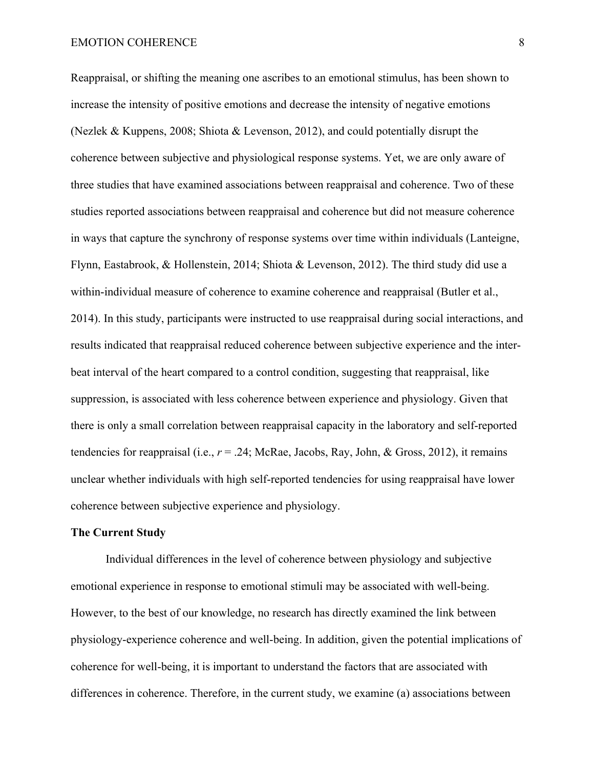#### EMOTION COHERENCE 8

Reappraisal, or shifting the meaning one ascribes to an emotional stimulus, has been shown to increase the intensity of positive emotions and decrease the intensity of negative emotions (Nezlek & Kuppens, 2008; Shiota & Levenson, 2012), and could potentially disrupt the coherence between subjective and physiological response systems. Yet, we are only aware of three studies that have examined associations between reappraisal and coherence. Two of these studies reported associations between reappraisal and coherence but did not measure coherence in ways that capture the synchrony of response systems over time within individuals (Lanteigne, Flynn, Eastabrook, & Hollenstein, 2014; Shiota & Levenson, 2012). The third study did use a within-individual measure of coherence to examine coherence and reappraisal (Butler et al., 2014). In this study, participants were instructed to use reappraisal during social interactions, and results indicated that reappraisal reduced coherence between subjective experience and the interbeat interval of the heart compared to a control condition, suggesting that reappraisal, like suppression, is associated with less coherence between experience and physiology. Given that there is only a small correlation between reappraisal capacity in the laboratory and self-reported tendencies for reappraisal (i.e., *r* = .24; McRae, Jacobs, Ray, John, & Gross, 2012), it remains unclear whether individuals with high self-reported tendencies for using reappraisal have lower coherence between subjective experience and physiology.

#### **The Current Study**

Individual differences in the level of coherence between physiology and subjective emotional experience in response to emotional stimuli may be associated with well-being. However, to the best of our knowledge, no research has directly examined the link between physiology-experience coherence and well-being. In addition, given the potential implications of coherence for well-being, it is important to understand the factors that are associated with differences in coherence. Therefore, in the current study, we examine (a) associations between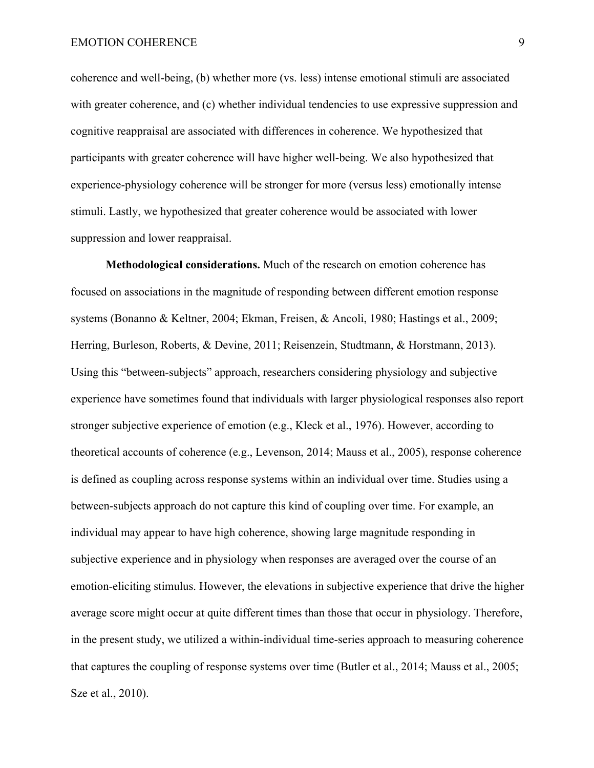coherence and well-being, (b) whether more (vs. less) intense emotional stimuli are associated with greater coherence, and (c) whether individual tendencies to use expressive suppression and cognitive reappraisal are associated with differences in coherence. We hypothesized that participants with greater coherence will have higher well-being. We also hypothesized that experience-physiology coherence will be stronger for more (versus less) emotionally intense stimuli. Lastly, we hypothesized that greater coherence would be associated with lower suppression and lower reappraisal.

**Methodological considerations.** Much of the research on emotion coherence has focused on associations in the magnitude of responding between different emotion response systems (Bonanno & Keltner, 2004; Ekman, Freisen, & Ancoli, 1980; Hastings et al., 2009; Herring, Burleson, Roberts, & Devine, 2011; Reisenzein, Studtmann, & Horstmann, 2013). Using this "between-subjects" approach, researchers considering physiology and subjective experience have sometimes found that individuals with larger physiological responses also report stronger subjective experience of emotion (e.g., Kleck et al., 1976). However, according to theoretical accounts of coherence (e.g., Levenson, 2014; Mauss et al., 2005), response coherence is defined as coupling across response systems within an individual over time. Studies using a between-subjects approach do not capture this kind of coupling over time. For example, an individual may appear to have high coherence, showing large magnitude responding in subjective experience and in physiology when responses are averaged over the course of an emotion-eliciting stimulus. However, the elevations in subjective experience that drive the higher average score might occur at quite different times than those that occur in physiology. Therefore, in the present study, we utilized a within-individual time-series approach to measuring coherence that captures the coupling of response systems over time (Butler et al., 2014; Mauss et al., 2005; Sze et al., 2010).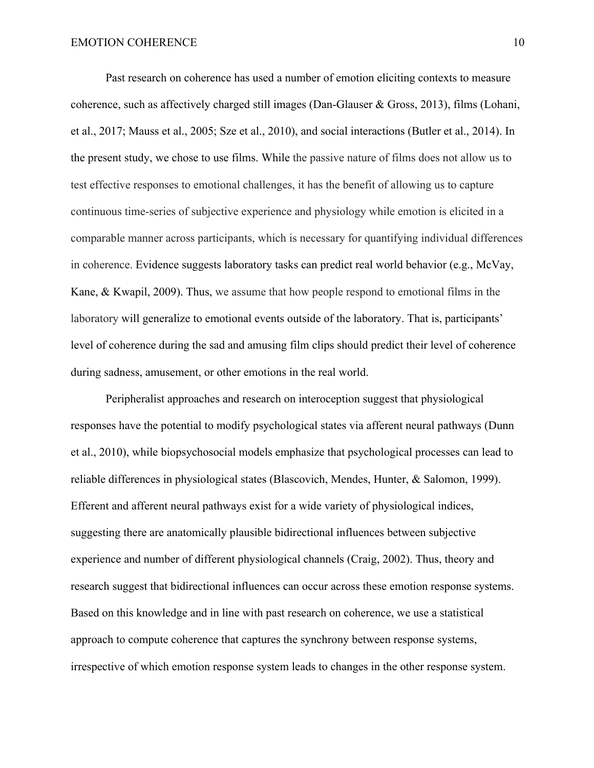Past research on coherence has used a number of emotion eliciting contexts to measure coherence, such as affectively charged still images (Dan-Glauser & Gross, 2013), films (Lohani, et al., 2017; Mauss et al., 2005; Sze et al., 2010), and social interactions (Butler et al., 2014). In the present study, we chose to use films. While the passive nature of films does not allow us to test effective responses to emotional challenges, it has the benefit of allowing us to capture continuous time-series of subjective experience and physiology while emotion is elicited in a comparable manner across participants, which is necessary for quantifying individual differences in coherence. Evidence suggests laboratory tasks can predict real world behavior (e.g., McVay, Kane, & Kwapil, 2009). Thus, we assume that how people respond to emotional films in the laboratory will generalize to emotional events outside of the laboratory. That is, participants' level of coherence during the sad and amusing film clips should predict their level of coherence during sadness, amusement, or other emotions in the real world.

Peripheralist approaches and research on interoception suggest that physiological responses have the potential to modify psychological states via afferent neural pathways (Dunn et al., 2010), while biopsychosocial models emphasize that psychological processes can lead to reliable differences in physiological states (Blascovich, Mendes, Hunter, & Salomon, 1999). Efferent and afferent neural pathways exist for a wide variety of physiological indices, suggesting there are anatomically plausible bidirectional influences between subjective experience and number of different physiological channels (Craig, 2002). Thus, theory and research suggest that bidirectional influences can occur across these emotion response systems. Based on this knowledge and in line with past research on coherence, we use a statistical approach to compute coherence that captures the synchrony between response systems, irrespective of which emotion response system leads to changes in the other response system.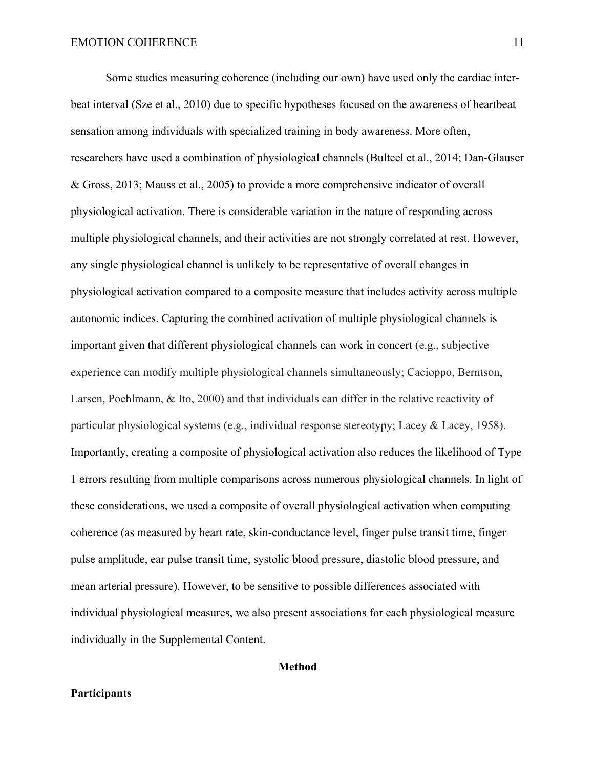Some studies measuring coherence (including our own) have used only the cardiac interbeat interval (Sze et al., 2010) due to specific hypotheses focused on the awareness of heartbeat sensation among individuals with specialized training in body awareness. More often, researchers have used a combination of physiological channels (Bulteel et al., 2014; Dan-Glauser & Gross, 2013; Mauss et al., 2005) to provide a more comprehensive indicator of overall physiological activation. There is considerable variation in the nature of responding across multiple physiological channels, and their activities are not strongly correlated at rest. However, any single physiological channel is unlikely to be representative of overall changes in physiological activation compared to a composite measure that includes activity across multiple autonomic indices. Capturing the combined activation of multiple physiological channels is important given that different physiological channels can work in concert (e.g., subjective experience can modify multiple physiological channels simultaneously; Cacioppo, Berntson, Larsen, Poehlmann, & Ito, 2000) and that individuals can differ in the relative reactivity of particular physiological systems (e.g., individual response stereotypy; Lacey & Lacey, 1958). Importantly, creating a composite of physiological activation also reduces the likelihood of Type 1 errors resulting from multiple comparisons across numerous physiological channels. In light of these considerations, we used a composite of overall physiological activation when computing coherence (as measured by heart rate, skin-conductance level, finger pulse transit time, finger pulse amplitude, ear pulse transit time, systolic blood pressure, diastolic blood pressure, and mean arterial pressure). However, to be sensitive to possible differences associated with individual physiological measures, we also present associations for each physiological measure individually in the Supplemental Content.

## **Method**

#### **Participants**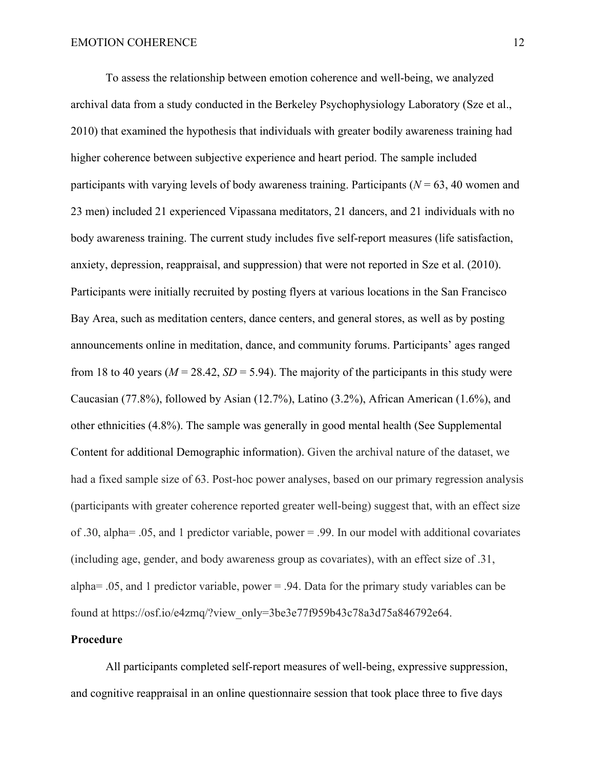To assess the relationship between emotion coherence and well-being, we analyzed archival data from a study conducted in the Berkeley Psychophysiology Laboratory (Sze et al., 2010) that examined the hypothesis that individuals with greater bodily awareness training had higher coherence between subjective experience and heart period. The sample included participants with varying levels of body awareness training. Participants ( $N = 63$ , 40 women and 23 men) included 21 experienced Vipassana meditators, 21 dancers, and 21 individuals with no body awareness training. The current study includes five self-report measures (life satisfaction, anxiety, depression, reappraisal, and suppression) that were not reported in Sze et al. (2010). Participants were initially recruited by posting flyers at various locations in the San Francisco Bay Area, such as meditation centers, dance centers, and general stores, as well as by posting announcements online in meditation, dance, and community forums. Participants' ages ranged from 18 to 40 years ( $M = 28.42$ ,  $SD = 5.94$ ). The majority of the participants in this study were Caucasian (77.8%), followed by Asian (12.7%), Latino (3.2%), African American (1.6%), and other ethnicities (4.8%). The sample was generally in good mental health (See Supplemental Content for additional Demographic information). Given the archival nature of the dataset, we had a fixed sample size of 63. Post-hoc power analyses, based on our primary regression analysis (participants with greater coherence reported greater well-being) suggest that, with an effect size of .30, alpha= .05, and 1 predictor variable, power = .99. In our model with additional covariates (including age, gender, and body awareness group as covariates), with an effect size of .31, alpha= .05, and 1 predictor variable, power = .94. Data for the primary study variables can be found at https://osf.io/e4zmq/?view\_only=3be3e77f959b43c78a3d75a846792e64.

# **Procedure**

All participants completed self-report measures of well-being, expressive suppression, and cognitive reappraisal in an online questionnaire session that took place three to five days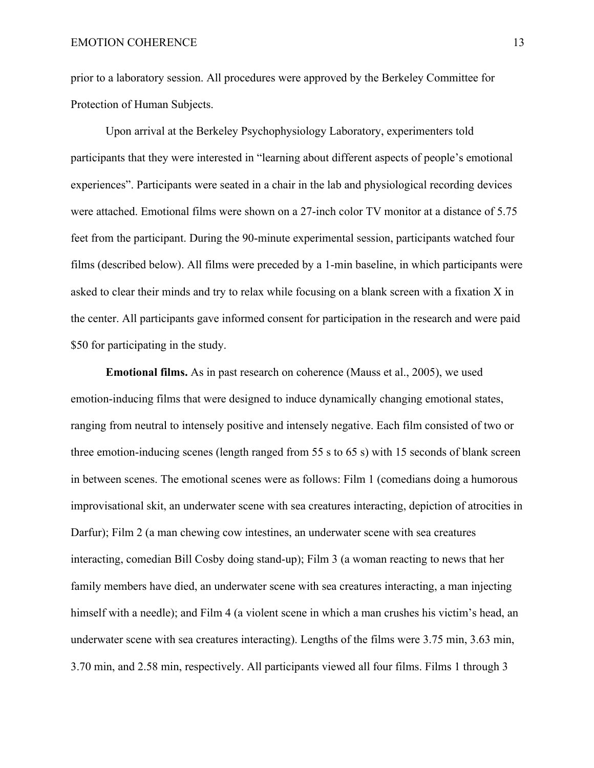prior to a laboratory session. All procedures were approved by the Berkeley Committee for Protection of Human Subjects.

Upon arrival at the Berkeley Psychophysiology Laboratory, experimenters told participants that they were interested in "learning about different aspects of people's emotional experiences". Participants were seated in a chair in the lab and physiological recording devices were attached. Emotional films were shown on a 27-inch color TV monitor at a distance of 5.75 feet from the participant. During the 90-minute experimental session, participants watched four films (described below). All films were preceded by a 1-min baseline, in which participants were asked to clear their minds and try to relax while focusing on a blank screen with a fixation X in the center. All participants gave informed consent for participation in the research and were paid \$50 for participating in the study.

**Emotional films.** As in past research on coherence (Mauss et al., 2005), we used emotion-inducing films that were designed to induce dynamically changing emotional states, ranging from neutral to intensely positive and intensely negative. Each film consisted of two or three emotion-inducing scenes (length ranged from 55 s to 65 s) with 15 seconds of blank screen in between scenes. The emotional scenes were as follows: Film 1 (comedians doing a humorous improvisational skit, an underwater scene with sea creatures interacting, depiction of atrocities in Darfur); Film 2 (a man chewing cow intestines, an underwater scene with sea creatures interacting, comedian Bill Cosby doing stand-up); Film 3 (a woman reacting to news that her family members have died, an underwater scene with sea creatures interacting, a man injecting himself with a needle); and Film 4 (a violent scene in which a man crushes his victim's head, an underwater scene with sea creatures interacting). Lengths of the films were 3.75 min, 3.63 min, 3.70 min, and 2.58 min, respectively. All participants viewed all four films. Films 1 through 3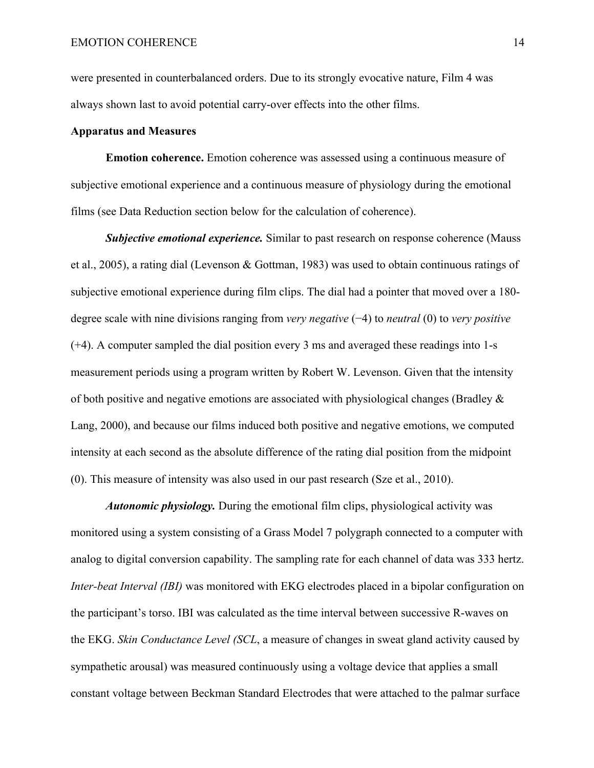were presented in counterbalanced orders. Due to its strongly evocative nature, Film 4 was always shown last to avoid potential carry-over effects into the other films.

#### **Apparatus and Measures**

**Emotion coherence.** Emotion coherence was assessed using a continuous measure of subjective emotional experience and a continuous measure of physiology during the emotional films (see Data Reduction section below for the calculation of coherence).

*Subjective emotional experience.* Similar to past research on response coherence (Mauss et al., 2005), a rating dial (Levenson & Gottman, 1983) was used to obtain continuous ratings of subjective emotional experience during film clips. The dial had a pointer that moved over a 180 degree scale with nine divisions ranging from *very negative* (−4) to *neutral* (0) to *very positive* (+4). A computer sampled the dial position every 3 ms and averaged these readings into 1-s measurement periods using a program written by Robert W. Levenson. Given that the intensity of both positive and negative emotions are associated with physiological changes (Bradley & Lang, 2000), and because our films induced both positive and negative emotions, we computed intensity at each second as the absolute difference of the rating dial position from the midpoint (0). This measure of intensity was also used in our past research (Sze et al., 2010).

*Autonomic physiology.* During the emotional film clips, physiological activity was monitored using a system consisting of a Grass Model 7 polygraph connected to a computer with analog to digital conversion capability. The sampling rate for each channel of data was 333 hertz. *Inter-beat Interval (IBI)* was monitored with EKG electrodes placed in a bipolar configuration on the participant's torso. IBI was calculated as the time interval between successive R-waves on the EKG. *Skin Conductance Level (SCL*, a measure of changes in sweat gland activity caused by sympathetic arousal) was measured continuously using a voltage device that applies a small constant voltage between Beckman Standard Electrodes that were attached to the palmar surface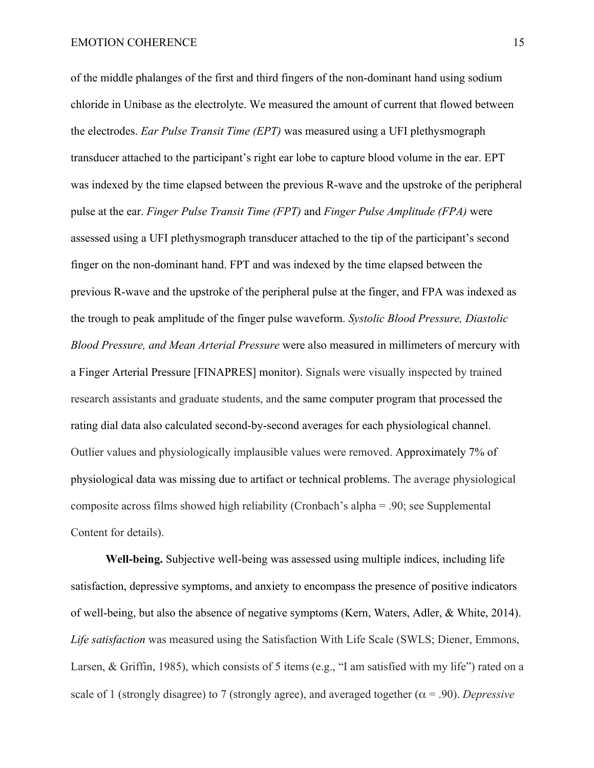of the middle phalanges of the first and third fingers of the non-dominant hand using sodium chloride in Unibase as the electrolyte. We measured the amount of current that flowed between the electrodes. *Ear Pulse Transit Time (EPT)* was measured using a UFI plethysmograph transducer attached to the participant's right ear lobe to capture blood volume in the ear. EPT was indexed by the time elapsed between the previous R-wave and the upstroke of the peripheral pulse at the ear. *Finger Pulse Transit Time (FPT)* and *Finger Pulse Amplitude (FPA)* were assessed using a UFI plethysmograph transducer attached to the tip of the participant's second finger on the non-dominant hand. FPT and was indexed by the time elapsed between the previous R-wave and the upstroke of the peripheral pulse at the finger, and FPA was indexed as the trough to peak amplitude of the finger pulse waveform. *Systolic Blood Pressure, Diastolic Blood Pressure, and Mean Arterial Pressure* were also measured in millimeters of mercury with a Finger Arterial Pressure [FINAPRES] monitor). Signals were visually inspected by trained research assistants and graduate students, and the same computer program that processed the rating dial data also calculated second-by-second averages for each physiological channel. Outlier values and physiologically implausible values were removed. Approximately 7% of physiological data was missing due to artifact or technical problems. The average physiological composite across films showed high reliability (Cronbach's alpha = .90; see Supplemental Content for details).

**Well-being.** Subjective well-being was assessed using multiple indices, including life satisfaction, depressive symptoms, and anxiety to encompass the presence of positive indicators of well-being, but also the absence of negative symptoms (Kern, Waters, Adler, & White, 2014). *Life satisfaction* was measured using the Satisfaction With Life Scale (SWLS; Diener, Emmons, Larsen, & Griffin, 1985), which consists of 5 items (e.g., "I am satisfied with my life") rated on a scale of 1 (strongly disagree) to 7 (strongly agree), and averaged together  $(\alpha = .90)$ . *Depressive*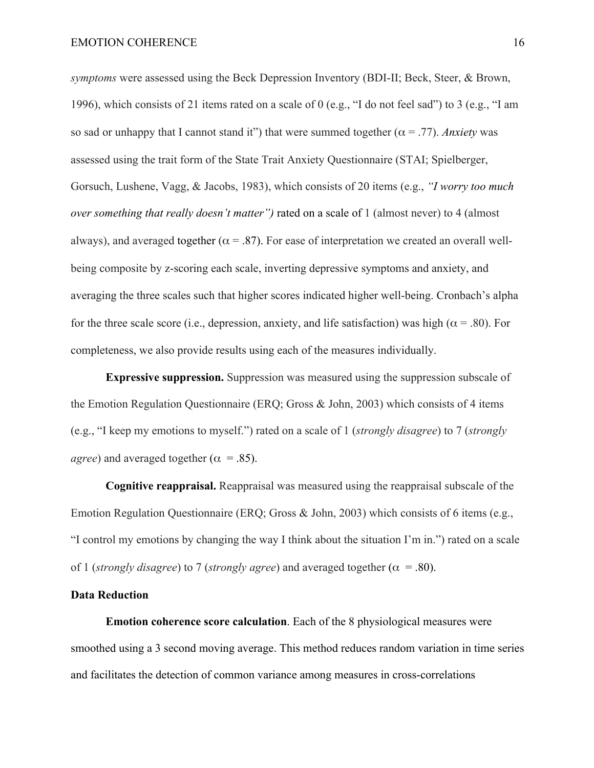*symptoms* were assessed using the Beck Depression Inventory (BDI-II; Beck, Steer, & Brown, 1996), which consists of 21 items rated on a scale of 0 (e.g., "I do not feel sad") to 3 (e.g., "I am so sad or unhappy that I cannot stand it") that were summed together  $(\alpha = .77)$ . *Anxiety* was assessed using the trait form of the State Trait Anxiety Questionnaire (STAI; Spielberger, Gorsuch, Lushene, Vagg, & Jacobs, 1983), which consists of 20 items (e.g., *"I worry too much over something that really doesn't matter")* rated on a scale of 1 (almost never) to 4 (almost always), and averaged together ( $\alpha = .87$ ). For ease of interpretation we created an overall wellbeing composite by z-scoring each scale, inverting depressive symptoms and anxiety, and averaging the three scales such that higher scores indicated higher well-being. Cronbach's alpha for the three scale score (i.e., depression, anxiety, and life satisfaction) was high ( $\alpha$  = .80). For completeness, we also provide results using each of the measures individually.

**Expressive suppression.** Suppression was measured using the suppression subscale of the Emotion Regulation Questionnaire (ERQ; Gross & John, 2003) which consists of 4 items (e.g., "I keep my emotions to myself.") rated on a scale of 1 (*strongly disagree*) to 7 (*strongly agree*) and averaged together ( $\alpha$  = .85).

**Cognitive reappraisal.** Reappraisal was measured using the reappraisal subscale of the Emotion Regulation Questionnaire (ERQ; Gross & John, 2003) which consists of 6 items (e.g., "I control my emotions by changing the way I think about the situation I'm in.") rated on a scale of 1 (*strongly disagree*) to 7 (*strongly agree*) and averaged together ( $\alpha$  = .80).

#### **Data Reduction**

**Emotion coherence score calculation**. Each of the 8 physiological measures were smoothed using a 3 second moving average. This method reduces random variation in time series and facilitates the detection of common variance among measures in cross-correlations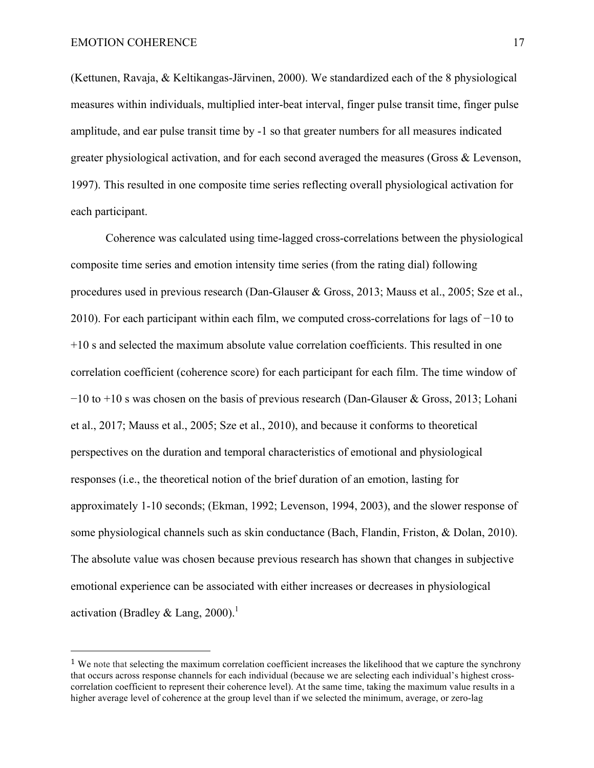(Kettunen, Ravaja, & Keltikangas-Järvinen, 2000). We standardized each of the 8 physiological measures within individuals, multiplied inter-beat interval, finger pulse transit time, finger pulse amplitude, and ear pulse transit time by -1 so that greater numbers for all measures indicated greater physiological activation, and for each second averaged the measures (Gross & Levenson, 1997). This resulted in one composite time series reflecting overall physiological activation for each participant.

Coherence was calculated using time-lagged cross-correlations between the physiological composite time series and emotion intensity time series (from the rating dial) following procedures used in previous research (Dan-Glauser & Gross, 2013; Mauss et al., 2005; Sze et al., 2010). For each participant within each film, we computed cross-correlations for lags of −10 to +10 s and selected the maximum absolute value correlation coefficients. This resulted in one correlation coefficient (coherence score) for each participant for each film. The time window of −10 to +10 s was chosen on the basis of previous research (Dan-Glauser & Gross, 2013; Lohani et al., 2017; Mauss et al., 2005; Sze et al., 2010), and because it conforms to theoretical perspectives on the duration and temporal characteristics of emotional and physiological responses (i.e., the theoretical notion of the brief duration of an emotion, lasting for approximately 1-10 seconds; (Ekman, 1992; Levenson, 1994, 2003), and the slower response of some physiological channels such as skin conductance (Bach, Flandin, Friston, & Dolan, 2010). The absolute value was chosen because previous research has shown that changes in subjective emotional experience can be associated with either increases or decreases in physiological activation (Bradley & Lang, 2000).<sup>1</sup>

<sup>&</sup>lt;sup>1</sup> We note that selecting the maximum correlation coefficient increases the likelihood that we capture the synchrony that occurs across response channels for each individual (because we are selecting each individual's highest crosscorrelation coefficient to represent their coherence level). At the same time, taking the maximum value results in a higher average level of coherence at the group level than if we selected the minimum, average, or zero-lag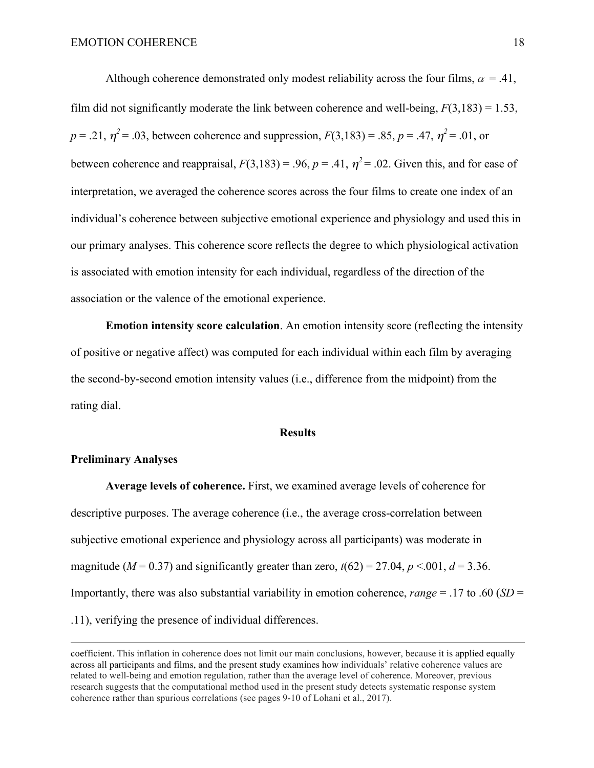Although coherence demonstrated only modest reliability across the four films,  $\alpha = .41$ , film did not significantly moderate the link between coherence and well-being,  $F(3,183) = 1.53$ ,  $p = .21$ ,  $\eta^2 = .03$ , between coherence and suppression,  $F(3,183) = .85$ ,  $p = .47$ ,  $\eta^2 = .01$ , or between coherence and reappraisal,  $F(3,183) = .96$ ,  $p = .41$ ,  $\eta^2 = .02$ . Given this, and for ease of interpretation, we averaged the coherence scores across the four films to create one index of an individual's coherence between subjective emotional experience and physiology and used this in our primary analyses. This coherence score reflects the degree to which physiological activation is associated with emotion intensity for each individual, regardless of the direction of the association or the valence of the emotional experience.

**Emotion intensity score calculation**. An emotion intensity score (reflecting the intensity of positive or negative affect) was computed for each individual within each film by averaging the second-by-second emotion intensity values (i.e., difference from the midpoint) from the rating dial.

#### **Results**

#### **Preliminary Analyses**

**Average levels of coherence.** First, we examined average levels of coherence for descriptive purposes. The average coherence (i.e., the average cross-correlation between subjective emotional experience and physiology across all participants) was moderate in magnitude ( $M = 0.37$ ) and significantly greater than zero,  $t(62) = 27.04$ ,  $p < 0.01$ ,  $d = 3.36$ . Importantly, there was also substantial variability in emotion coherence, *range* = .17 to .60 (*SD* = .11), verifying the presence of individual differences.

<u> 1989 - Andrea San Andrea San Andrea San Andrea San Andrea San Andrea San Andrea San Andrea San Andrea San An</u>

coefficient. This inflation in coherence does not limit our main conclusions, however, because it is applied equally across all participants and films, and the present study examines how individuals' relative coherence values are related to well-being and emotion regulation, rather than the average level of coherence. Moreover, previous research suggests that the computational method used in the present study detects systematic response system coherence rather than spurious correlations (see pages 9-10 of Lohani et al., 2017).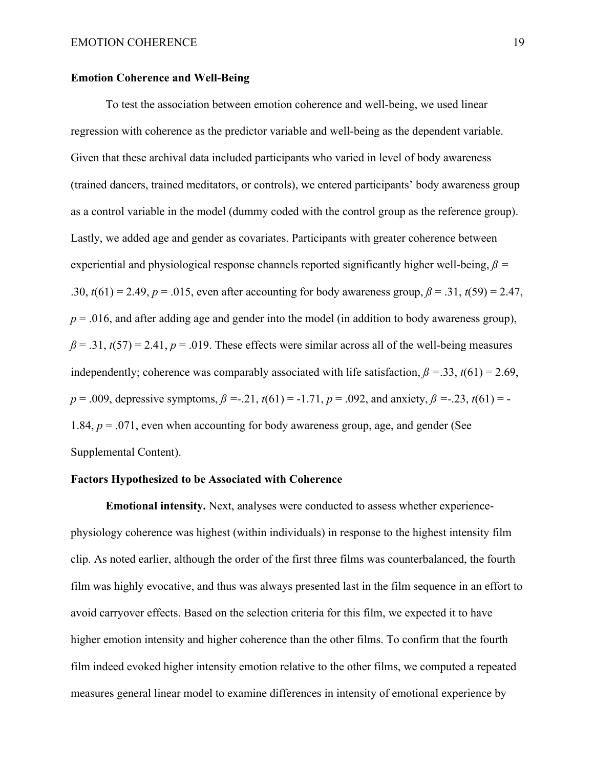#### **Emotion Coherence and Well-Being**

To test the association between emotion coherence and well-being, we used linear regression with coherence as the predictor variable and well-being as the dependent variable. Given that these archival data included participants who varied in level of body awareness (trained dancers, trained meditators, or controls), we entered participants' body awareness group as a control variable in the model (dummy coded with the control group as the reference group). Lastly, we added age and gender as covariates. Participants with greater coherence between experiential and physiological response channels reported significantly higher well-being,  $\beta$  = .30,  $t(61) = 2.49$ ,  $p = .015$ , even after accounting for body awareness group,  $\beta = .31$ ,  $t(59) = 2.47$ ,  $p = 0.016$ , and after adding age and gender into the model (in addition to body awareness group),  $\beta$  = .31,  $t(57)$  = 2.41,  $p$  = .019. These effects were similar across all of the well-being measures independently; coherence was comparably associated with life satisfaction,  $\beta = 33$ ,  $t(61) = 2.69$ , *p* = .009, depressive symptoms,  $\beta$  =-.21,  $t(61)$  = -1.71,  $p = .092$ , and anxiety,  $\beta$  =-.23,  $t(61)$  = -1.84,  $p = 0.071$ , even when accounting for body awareness group, age, and gender (See Supplemental Content).

### **Factors Hypothesized to be Associated with Coherence**

**Emotional intensity.** Next, analyses were conducted to assess whether experiencephysiology coherence was highest (within individuals) in response to the highest intensity film clip. As noted earlier, although the order of the first three films was counterbalanced, the fourth film was highly evocative, and thus was always presented last in the film sequence in an effort to avoid carryover effects. Based on the selection criteria for this film, we expected it to have higher emotion intensity and higher coherence than the other films. To confirm that the fourth film indeed evoked higher intensity emotion relative to the other films, we computed a repeated measures general linear model to examine differences in intensity of emotional experience by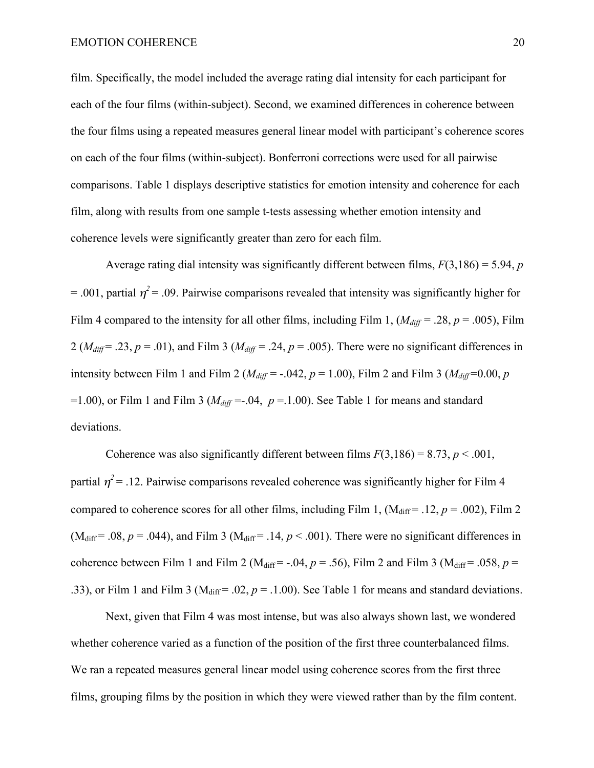film. Specifically, the model included the average rating dial intensity for each participant for each of the four films (within-subject). Second, we examined differences in coherence between the four films using a repeated measures general linear model with participant's coherence scores on each of the four films (within-subject). Bonferroni corrections were used for all pairwise comparisons. Table 1 displays descriptive statistics for emotion intensity and coherence for each film, along with results from one sample t-tests assessing whether emotion intensity and coherence levels were significantly greater than zero for each film.

Average rating dial intensity was significantly different between films, *F*(3,186) = 5.94, *p*  $=$  .001, partial  $\eta^2$  = .09. Pairwise comparisons revealed that intensity was significantly higher for Film 4 compared to the intensity for all other films, including Film 1,  $(M_{diff} = .28, p = .005)$ , Film 2 ( $M_{diff}$  = .23,  $p = .01$ ), and Film 3 ( $M_{diff}$  = .24,  $p = .005$ ). There were no significant differences in intensity between Film 1 and Film 2 ( $M_{diff}$  = -.042,  $p = 1.00$ ), Film 2 and Film 3 ( $M_{diff}$  = 0.00,  $p$ =1.00), or Film 1 and Film 3 ( $M_{diff}$  =-.04,  $p = 1.00$ ). See Table 1 for means and standard deviations.

Coherence was also significantly different between films  $F(3,186) = 8.73$ ,  $p < .001$ , partial  $\eta^2$  = .12. Pairwise comparisons revealed coherence was significantly higher for Film 4 compared to coherence scores for all other films, including Film 1,  $(M_{diff} = .12, p = .002)$ , Film 2 ( $M_{diff}$  = .08,  $p = .044$ ), and Film 3 ( $M_{diff}$  = .14,  $p < .001$ ). There were no significant differences in coherence between Film 1 and Film 2 (M<sub>diff</sub> = -.04,  $p = .56$ ), Film 2 and Film 3 (M<sub>diff</sub> = .058,  $p =$ .33), or Film 1 and Film 3 ( $M_{\text{diff}}$  = .02,  $p = 0.1.00$ ). See Table 1 for means and standard deviations.

Next, given that Film 4 was most intense, but was also always shown last, we wondered whether coherence varied as a function of the position of the first three counterbalanced films. We ran a repeated measures general linear model using coherence scores from the first three films, grouping films by the position in which they were viewed rather than by the film content.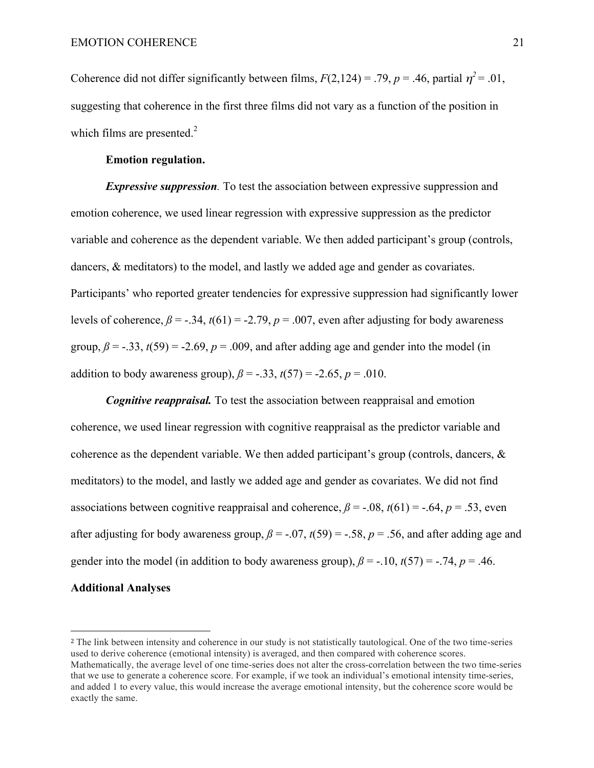Coherence did not differ significantly between films,  $F(2,124) = .79$ ,  $p = .46$ , partial  $\eta^2 = .01$ , suggesting that coherence in the first three films did not vary as a function of the position in which films are presented.<sup>2</sup>

## **Emotion regulation.**

 

*Expressive suppression.* To test the association between expressive suppression and emotion coherence, we used linear regression with expressive suppression as the predictor variable and coherence as the dependent variable. We then added participant's group (controls, dancers, & meditators) to the model, and lastly we added age and gender as covariates. Participants' who reported greater tendencies for expressive suppression had significantly lower levels of coherence,  $\beta$  = -.34,  $t(61)$  = -2.79,  $p = .007$ , even after adjusting for body awareness group,  $\beta$  = -.33,  $t(59)$  = -2.69,  $p = .009$ , and after adding age and gender into the model (in addition to body awareness group),  $\beta = -.33$ ,  $t(57) = -2.65$ ,  $p = .010$ .

*Cognitive reappraisal.* To test the association between reappraisal and emotion coherence, we used linear regression with cognitive reappraisal as the predictor variable and coherence as the dependent variable. We then added participant's group (controls, dancers,  $\&$ meditators) to the model, and lastly we added age and gender as covariates. We did not find associations between cognitive reappraisal and coherence,  $\beta$  = -.08,  $t(61)$  = -.64,  $p = .53$ , even after adjusting for body awareness group,  $\beta$  = -.07,  $t(59)$  = -.58,  $p$  = .56, and after adding age and gender into the model (in addition to body awareness group),  $\beta$  = -.10,  $t(57)$  = -.74,  $p = .46$ . **Additional Analyses**

#### <sup>2</sup> The link between intensity and coherence in our study is not statistically tautological. One of the two time-series used to derive coherence (emotional intensity) is averaged, and then compared with coherence scores. Mathematically, the average level of one time-series does not alter the cross-correlation between the two time-series that we use to generate a coherence score. For example, if we took an individual's emotional intensity time-series, and added 1 to every value, this would increase the average emotional intensity, but the coherence score would be exactly the same.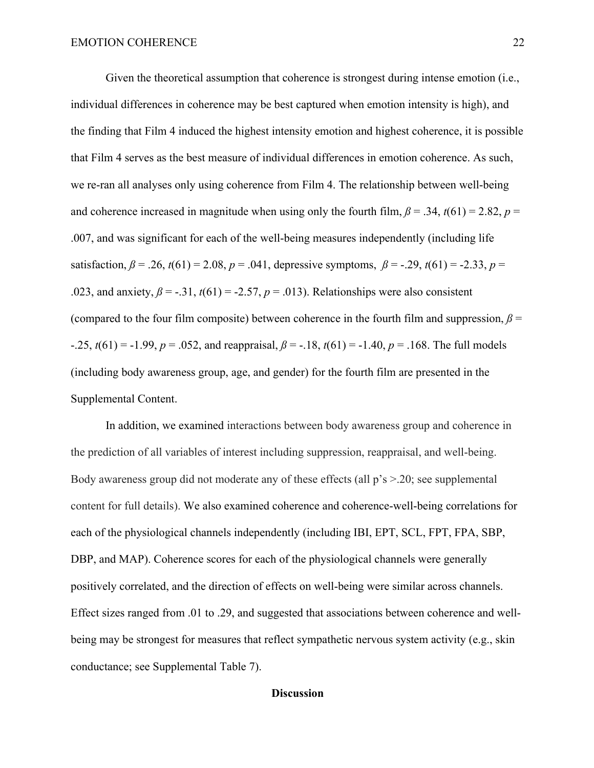Given the theoretical assumption that coherence is strongest during intense emotion (i.e., individual differences in coherence may be best captured when emotion intensity is high), and the finding that Film 4 induced the highest intensity emotion and highest coherence, it is possible that Film 4 serves as the best measure of individual differences in emotion coherence. As such, we re-ran all analyses only using coherence from Film 4. The relationship between well-being and coherence increased in magnitude when using only the fourth film,  $\beta$  = .34,  $t(61)$  = 2.82,  $p$  = .007, and was significant for each of the well-being measures independently (including life satisfaction,  $\beta = .26$ ,  $t(61) = 2.08$ ,  $p = .041$ , depressive symptoms,  $\beta = -.29$ ,  $t(61) = -2.33$ ,  $p =$ .023, and anxiety,  $\beta$  = -.31,  $t(61)$  = -2.57,  $p = .013$ ). Relationships were also consistent (compared to the four film composite) between coherence in the fourth film and suppression,  $\beta$  = -.25,  $t(61) = -1.99$ ,  $p = .052$ , and reappraisal,  $\beta = -.18$ ,  $t(61) = -1.40$ ,  $p = .168$ . The full models (including body awareness group, age, and gender) for the fourth film are presented in the Supplemental Content.

In addition, we examined interactions between body awareness group and coherence in the prediction of all variables of interest including suppression, reappraisal, and well-being. Body awareness group did not moderate any of these effects (all p's >.20; see supplemental content for full details). We also examined coherence and coherence-well-being correlations for each of the physiological channels independently (including IBI, EPT, SCL, FPT, FPA, SBP, DBP, and MAP). Coherence scores for each of the physiological channels were generally positively correlated, and the direction of effects on well-being were similar across channels. Effect sizes ranged from .01 to .29, and suggested that associations between coherence and wellbeing may be strongest for measures that reflect sympathetic nervous system activity (e.g., skin conductance; see Supplemental Table 7).

### **Discussion**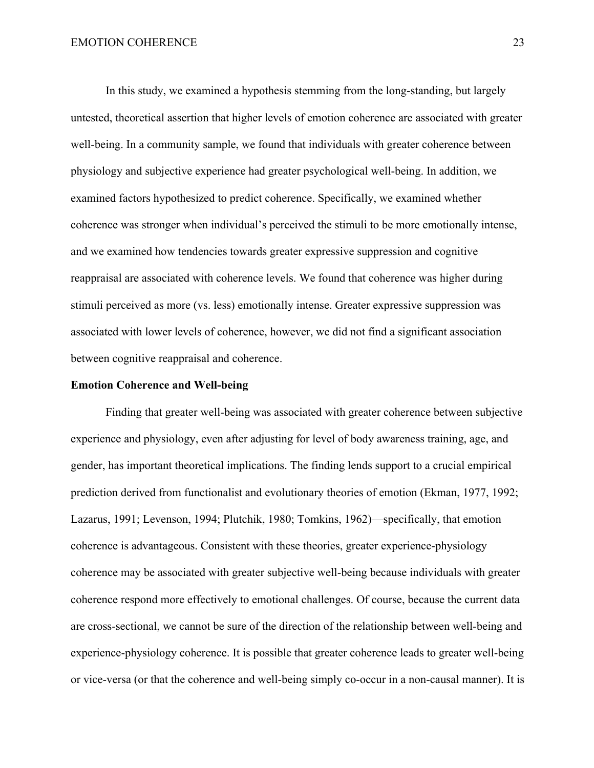In this study, we examined a hypothesis stemming from the long-standing, but largely untested, theoretical assertion that higher levels of emotion coherence are associated with greater well-being. In a community sample, we found that individuals with greater coherence between physiology and subjective experience had greater psychological well-being. In addition, we examined factors hypothesized to predict coherence. Specifically, we examined whether coherence was stronger when individual's perceived the stimuli to be more emotionally intense, and we examined how tendencies towards greater expressive suppression and cognitive reappraisal are associated with coherence levels. We found that coherence was higher during stimuli perceived as more (vs. less) emotionally intense. Greater expressive suppression was associated with lower levels of coherence, however, we did not find a significant association between cognitive reappraisal and coherence.

#### **Emotion Coherence and Well-being**

Finding that greater well-being was associated with greater coherence between subjective experience and physiology, even after adjusting for level of body awareness training, age, and gender, has important theoretical implications. The finding lends support to a crucial empirical prediction derived from functionalist and evolutionary theories of emotion (Ekman, 1977, 1992; Lazarus, 1991; Levenson, 1994; Plutchik, 1980; Tomkins, 1962)—specifically, that emotion coherence is advantageous. Consistent with these theories, greater experience-physiology coherence may be associated with greater subjective well-being because individuals with greater coherence respond more effectively to emotional challenges. Of course, because the current data are cross-sectional, we cannot be sure of the direction of the relationship between well-being and experience-physiology coherence. It is possible that greater coherence leads to greater well-being or vice-versa (or that the coherence and well-being simply co-occur in a non-causal manner). It is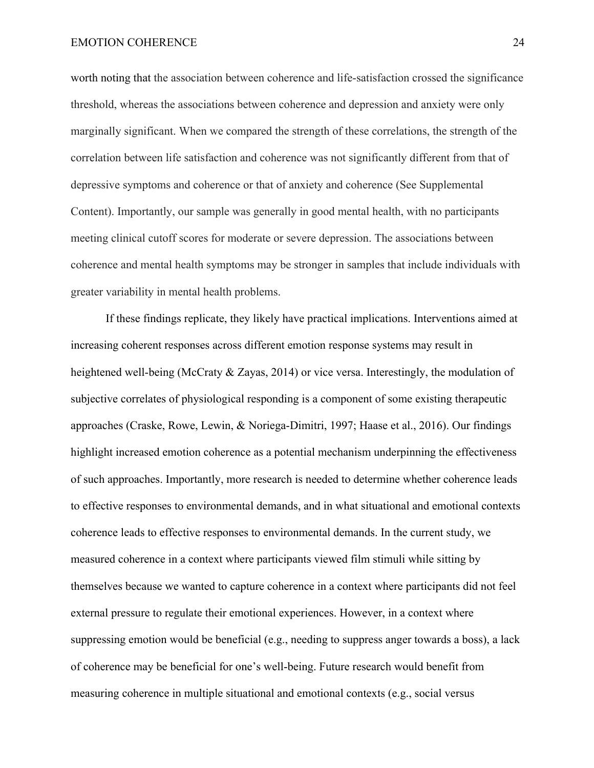#### EMOTION COHERENCE 24

worth noting that the association between coherence and life-satisfaction crossed the significance threshold, whereas the associations between coherence and depression and anxiety were only marginally significant. When we compared the strength of these correlations, the strength of the correlation between life satisfaction and coherence was not significantly different from that of depressive symptoms and coherence or that of anxiety and coherence (See Supplemental Content). Importantly, our sample was generally in good mental health, with no participants meeting clinical cutoff scores for moderate or severe depression. The associations between coherence and mental health symptoms may be stronger in samples that include individuals with greater variability in mental health problems.

If these findings replicate, they likely have practical implications. Interventions aimed at increasing coherent responses across different emotion response systems may result in heightened well-being (McCraty & Zayas, 2014) or vice versa. Interestingly, the modulation of subjective correlates of physiological responding is a component of some existing therapeutic approaches (Craske, Rowe, Lewin, & Noriega-Dimitri, 1997; Haase et al., 2016). Our findings highlight increased emotion coherence as a potential mechanism underpinning the effectiveness of such approaches. Importantly, more research is needed to determine whether coherence leads to effective responses to environmental demands, and in what situational and emotional contexts coherence leads to effective responses to environmental demands. In the current study, we measured coherence in a context where participants viewed film stimuli while sitting by themselves because we wanted to capture coherence in a context where participants did not feel external pressure to regulate their emotional experiences. However, in a context where suppressing emotion would be beneficial (e.g., needing to suppress anger towards a boss), a lack of coherence may be beneficial for one's well-being. Future research would benefit from measuring coherence in multiple situational and emotional contexts (e.g., social versus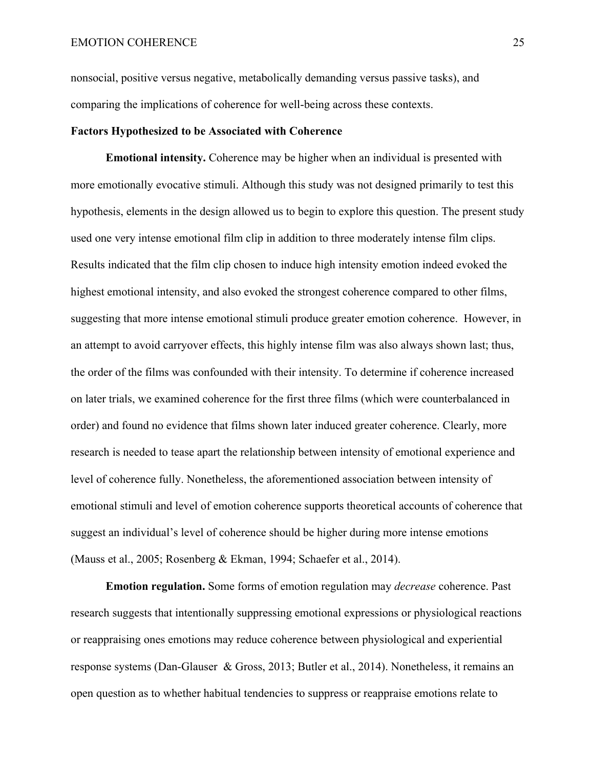nonsocial, positive versus negative, metabolically demanding versus passive tasks), and comparing the implications of coherence for well-being across these contexts.

#### **Factors Hypothesized to be Associated with Coherence**

**Emotional intensity.** Coherence may be higher when an individual is presented with more emotionally evocative stimuli. Although this study was not designed primarily to test this hypothesis, elements in the design allowed us to begin to explore this question. The present study used one very intense emotional film clip in addition to three moderately intense film clips. Results indicated that the film clip chosen to induce high intensity emotion indeed evoked the highest emotional intensity, and also evoked the strongest coherence compared to other films, suggesting that more intense emotional stimuli produce greater emotion coherence. However, in an attempt to avoid carryover effects, this highly intense film was also always shown last; thus, the order of the films was confounded with their intensity. To determine if coherence increased on later trials, we examined coherence for the first three films (which were counterbalanced in order) and found no evidence that films shown later induced greater coherence. Clearly, more research is needed to tease apart the relationship between intensity of emotional experience and level of coherence fully. Nonetheless, the aforementioned association between intensity of emotional stimuli and level of emotion coherence supports theoretical accounts of coherence that suggest an individual's level of coherence should be higher during more intense emotions (Mauss et al., 2005; Rosenberg & Ekman, 1994; Schaefer et al., 2014).

**Emotion regulation.** Some forms of emotion regulation may *decrease* coherence. Past research suggests that intentionally suppressing emotional expressions or physiological reactions or reappraising ones emotions may reduce coherence between physiological and experiential response systems (Dan-Glauser & Gross, 2013; Butler et al., 2014). Nonetheless, it remains an open question as to whether habitual tendencies to suppress or reappraise emotions relate to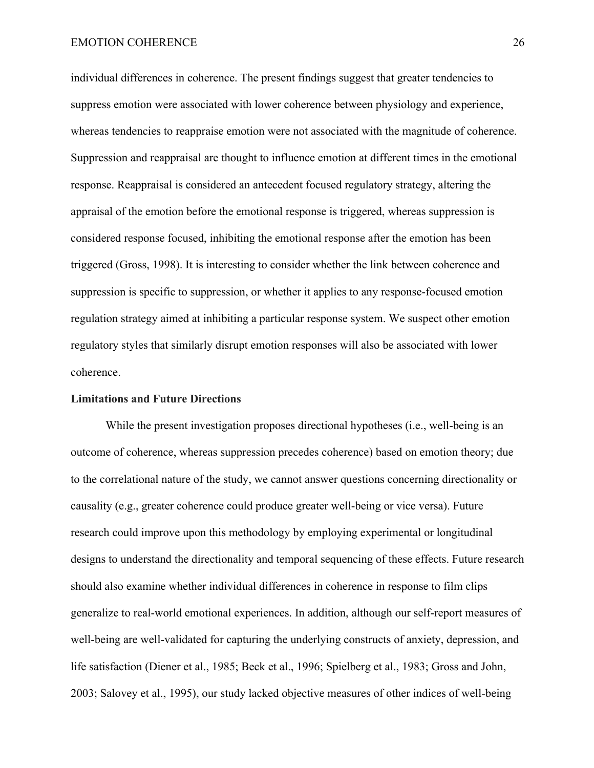#### EMOTION COHERENCE 26

individual differences in coherence. The present findings suggest that greater tendencies to suppress emotion were associated with lower coherence between physiology and experience, whereas tendencies to reappraise emotion were not associated with the magnitude of coherence. Suppression and reappraisal are thought to influence emotion at different times in the emotional response. Reappraisal is considered an antecedent focused regulatory strategy, altering the appraisal of the emotion before the emotional response is triggered, whereas suppression is considered response focused, inhibiting the emotional response after the emotion has been triggered (Gross, 1998). It is interesting to consider whether the link between coherence and suppression is specific to suppression, or whether it applies to any response-focused emotion regulation strategy aimed at inhibiting a particular response system. We suspect other emotion regulatory styles that similarly disrupt emotion responses will also be associated with lower coherence.

#### **Limitations and Future Directions**

While the present investigation proposes directional hypotheses (i.e., well-being is an outcome of coherence, whereas suppression precedes coherence) based on emotion theory; due to the correlational nature of the study, we cannot answer questions concerning directionality or causality (e.g., greater coherence could produce greater well-being or vice versa). Future research could improve upon this methodology by employing experimental or longitudinal designs to understand the directionality and temporal sequencing of these effects. Future research should also examine whether individual differences in coherence in response to film clips generalize to real-world emotional experiences. In addition, although our self-report measures of well-being are well-validated for capturing the underlying constructs of anxiety, depression, and life satisfaction (Diener et al., 1985; Beck et al., 1996; Spielberg et al., 1983; Gross and John, 2003; Salovey et al., 1995), our study lacked objective measures of other indices of well-being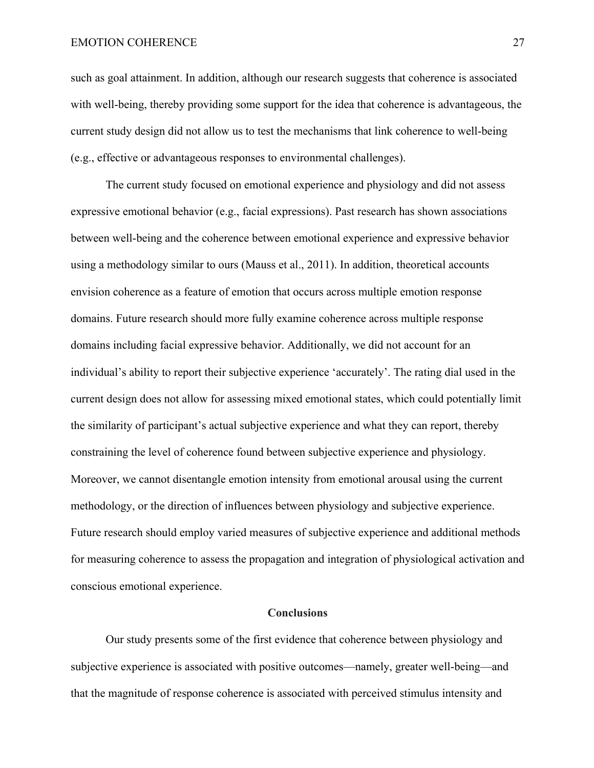#### EMOTION COHERENCE 27

such as goal attainment. In addition, although our research suggests that coherence is associated with well-being, thereby providing some support for the idea that coherence is advantageous, the current study design did not allow us to test the mechanisms that link coherence to well-being (e.g., effective or advantageous responses to environmental challenges).

The current study focused on emotional experience and physiology and did not assess expressive emotional behavior (e.g., facial expressions). Past research has shown associations between well-being and the coherence between emotional experience and expressive behavior using a methodology similar to ours (Mauss et al., 2011). In addition, theoretical accounts envision coherence as a feature of emotion that occurs across multiple emotion response domains. Future research should more fully examine coherence across multiple response domains including facial expressive behavior. Additionally, we did not account for an individual's ability to report their subjective experience 'accurately'. The rating dial used in the current design does not allow for assessing mixed emotional states, which could potentially limit the similarity of participant's actual subjective experience and what they can report, thereby constraining the level of coherence found between subjective experience and physiology. Moreover, we cannot disentangle emotion intensity from emotional arousal using the current methodology, or the direction of influences between physiology and subjective experience. Future research should employ varied measures of subjective experience and additional methods for measuring coherence to assess the propagation and integration of physiological activation and conscious emotional experience.

#### **Conclusions**

Our study presents some of the first evidence that coherence between physiology and subjective experience is associated with positive outcomes—namely, greater well-being—and that the magnitude of response coherence is associated with perceived stimulus intensity and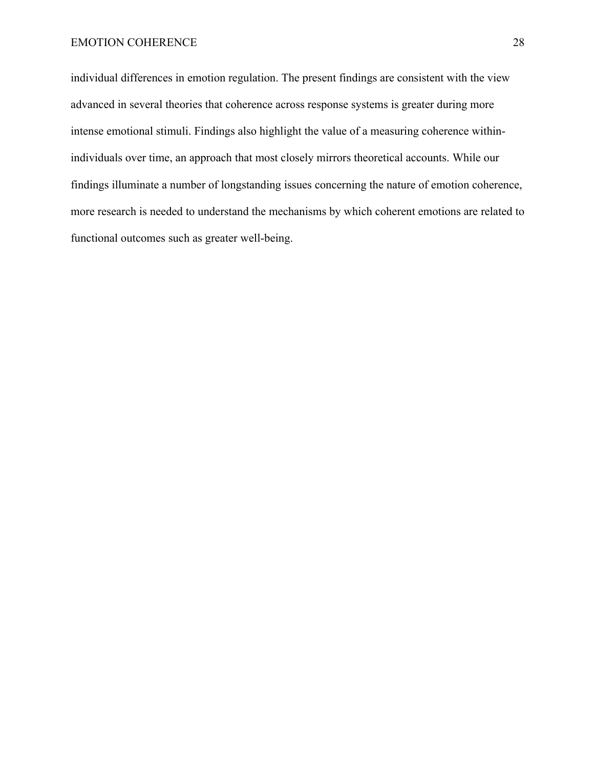individual differences in emotion regulation. The present findings are consistent with the view advanced in several theories that coherence across response systems is greater during more intense emotional stimuli. Findings also highlight the value of a measuring coherence withinindividuals over time, an approach that most closely mirrors theoretical accounts. While our findings illuminate a number of longstanding issues concerning the nature of emotion coherence, more research is needed to understand the mechanisms by which coherent emotions are related to functional outcomes such as greater well-being.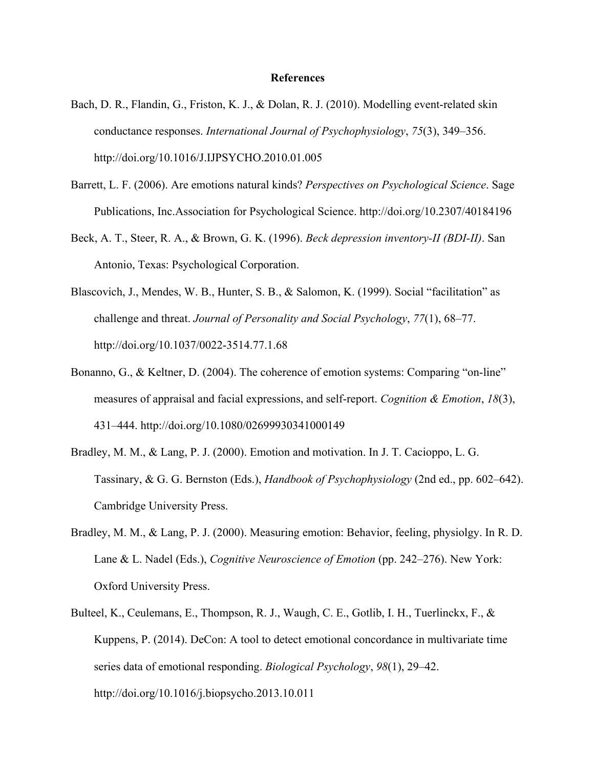#### **References**

- Bach, D. R., Flandin, G., Friston, K. J., & Dolan, R. J. (2010). Modelling event-related skin conductance responses. *International Journal of Psychophysiology*, *75*(3), 349–356. http://doi.org/10.1016/J.IJPSYCHO.2010.01.005
- Barrett, L. F. (2006). Are emotions natural kinds? *Perspectives on Psychological Science*. Sage Publications, Inc.Association for Psychological Science. http://doi.org/10.2307/40184196
- Beck, A. T., Steer, R. A., & Brown, G. K. (1996). *Beck depression inventory-II (BDI-II)*. San Antonio, Texas: Psychological Corporation.
- Blascovich, J., Mendes, W. B., Hunter, S. B., & Salomon, K. (1999). Social "facilitation" as challenge and threat. *Journal of Personality and Social Psychology*, *77*(1), 68–77. http://doi.org/10.1037/0022-3514.77.1.68
- Bonanno, G., & Keltner, D. (2004). The coherence of emotion systems: Comparing "on-line" measures of appraisal and facial expressions, and self-report. *Cognition & Emotion*, *18*(3), 431–444. http://doi.org/10.1080/02699930341000149
- Bradley, M. M., & Lang, P. J. (2000). Emotion and motivation. In J. T. Cacioppo, L. G. Tassinary, & G. G. Bernston (Eds.), *Handbook of Psychophysiology* (2nd ed., pp. 602–642). Cambridge University Press.
- Bradley, M. M., & Lang, P. J. (2000). Measuring emotion: Behavior, feeling, physiolgy. In R. D. Lane & L. Nadel (Eds.), *Cognitive Neuroscience of Emotion* (pp. 242–276). New York: Oxford University Press.
- Bulteel, K., Ceulemans, E., Thompson, R. J., Waugh, C. E., Gotlib, I. H., Tuerlinckx, F., & Kuppens, P. (2014). DeCon: A tool to detect emotional concordance in multivariate time series data of emotional responding. *Biological Psychology*, *98*(1), 29–42. http://doi.org/10.1016/j.biopsycho.2013.10.011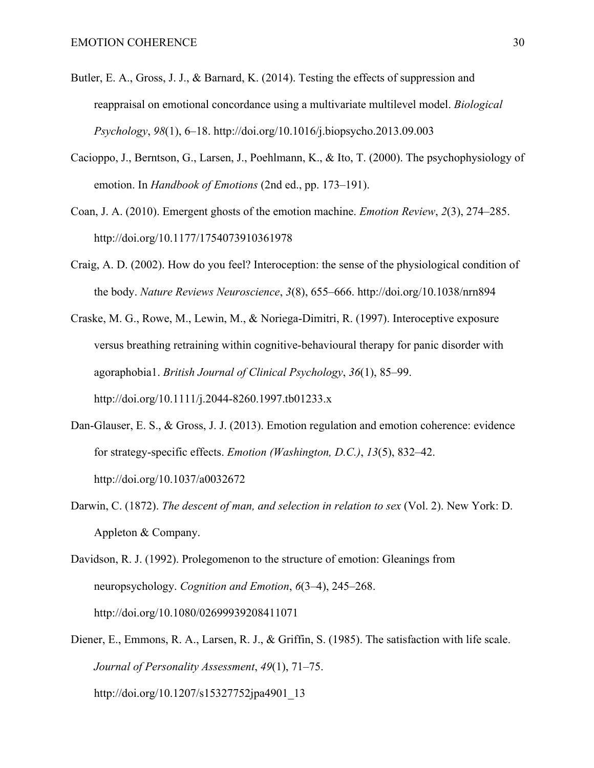- Butler, E. A., Gross, J. J., & Barnard, K. (2014). Testing the effects of suppression and reappraisal on emotional concordance using a multivariate multilevel model. *Biological Psychology*, *98*(1), 6–18. http://doi.org/10.1016/j.biopsycho.2013.09.003
- Cacioppo, J., Berntson, G., Larsen, J., Poehlmann, K., & Ito, T. (2000). The psychophysiology of emotion. In *Handbook of Emotions* (2nd ed., pp. 173–191).
- Coan, J. A. (2010). Emergent ghosts of the emotion machine. *Emotion Review*, *2*(3), 274–285. http://doi.org/10.1177/1754073910361978
- Craig, A. D. (2002). How do you feel? Interoception: the sense of the physiological condition of the body. *Nature Reviews Neuroscience*, *3*(8), 655–666. http://doi.org/10.1038/nrn894
- Craske, M. G., Rowe, M., Lewin, M., & Noriega-Dimitri, R. (1997). Interoceptive exposure versus breathing retraining within cognitive-behavioural therapy for panic disorder with agoraphobia1. *British Journal of Clinical Psychology*, *36*(1), 85–99. http://doi.org/10.1111/j.2044-8260.1997.tb01233.x
- Dan-Glauser, E. S., & Gross, J. J. (2013). Emotion regulation and emotion coherence: evidence for strategy-specific effects. *Emotion (Washington, D.C.)*, *13*(5), 832–42. http://doi.org/10.1037/a0032672
- Darwin, C. (1872). *The descent of man, and selection in relation to sex* (Vol. 2). New York: D. Appleton & Company.

Davidson, R. J. (1992). Prolegomenon to the structure of emotion: Gleanings from neuropsychology. *Cognition and Emotion*, *6*(3–4), 245–268. http://doi.org/10.1080/02699939208411071

Diener, E., Emmons, R. A., Larsen, R. J., & Griffin, S. (1985). The satisfaction with life scale. *Journal of Personality Assessment*, *49*(1), 71–75. http://doi.org/10.1207/s15327752jpa4901\_13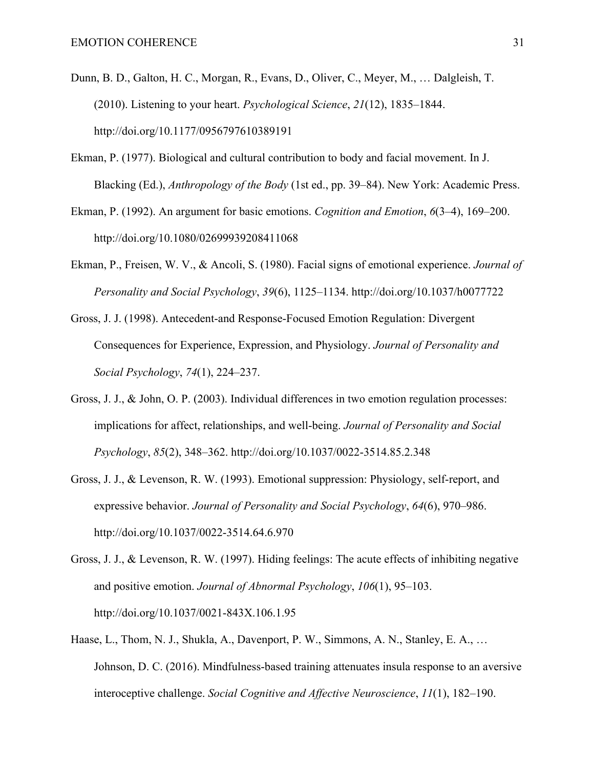- Dunn, B. D., Galton, H. C., Morgan, R., Evans, D., Oliver, C., Meyer, M., … Dalgleish, T. (2010). Listening to your heart. *Psychological Science*, *21*(12), 1835–1844. http://doi.org/10.1177/0956797610389191
- Ekman, P. (1977). Biological and cultural contribution to body and facial movement. In J. Blacking (Ed.), *Anthropology of the Body* (1st ed., pp. 39–84). New York: Academic Press.
- Ekman, P. (1992). An argument for basic emotions. *Cognition and Emotion*, *6*(3–4), 169–200. http://doi.org/10.1080/02699939208411068
- Ekman, P., Freisen, W. V., & Ancoli, S. (1980). Facial signs of emotional experience. *Journal of Personality and Social Psychology*, *39*(6), 1125–1134. http://doi.org/10.1037/h0077722
- Gross, J. J. (1998). Antecedent-and Response-Focused Emotion Regulation: Divergent Consequences for Experience, Expression, and Physiology. *Journal of Personality and Social Psychology*, *74*(1), 224–237.
- Gross, J. J., & John, O. P. (2003). Individual differences in two emotion regulation processes: implications for affect, relationships, and well-being. *Journal of Personality and Social Psychology*, *85*(2), 348–362. http://doi.org/10.1037/0022-3514.85.2.348
- Gross, J. J., & Levenson, R. W. (1993). Emotional suppression: Physiology, self-report, and expressive behavior. *Journal of Personality and Social Psychology*, *64*(6), 970–986. http://doi.org/10.1037/0022-3514.64.6.970
- Gross, J. J., & Levenson, R. W. (1997). Hiding feelings: The acute effects of inhibiting negative and positive emotion. *Journal of Abnormal Psychology*, *106*(1), 95–103. http://doi.org/10.1037/0021-843X.106.1.95
- Haase, L., Thom, N. J., Shukla, A., Davenport, P. W., Simmons, A. N., Stanley, E. A., … Johnson, D. C. (2016). Mindfulness-based training attenuates insula response to an aversive interoceptive challenge. *Social Cognitive and Affective Neuroscience*, *11*(1), 182–190.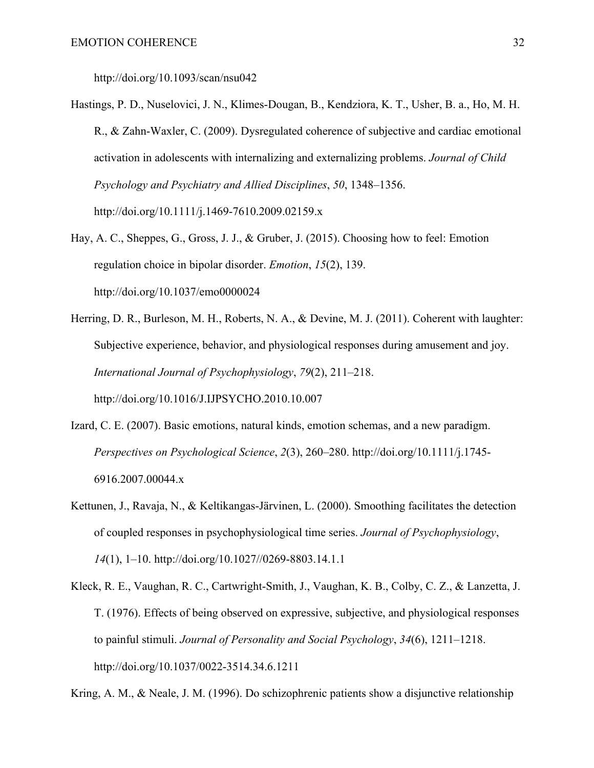http://doi.org/10.1093/scan/nsu042

- Hastings, P. D., Nuselovici, J. N., Klimes-Dougan, B., Kendziora, K. T., Usher, B. a., Ho, M. H. R., & Zahn-Waxler, C. (2009). Dysregulated coherence of subjective and cardiac emotional activation in adolescents with internalizing and externalizing problems. *Journal of Child Psychology and Psychiatry and Allied Disciplines*, *50*, 1348–1356. http://doi.org/10.1111/j.1469-7610.2009.02159.x
- Hay, A. C., Sheppes, G., Gross, J. J., & Gruber, J. (2015). Choosing how to feel: Emotion regulation choice in bipolar disorder. *Emotion*, *15*(2), 139. http://doi.org/10.1037/emo0000024
- Herring, D. R., Burleson, M. H., Roberts, N. A., & Devine, M. J. (2011). Coherent with laughter: Subjective experience, behavior, and physiological responses during amusement and joy. *International Journal of Psychophysiology*, *79*(2), 211–218. http://doi.org/10.1016/J.IJPSYCHO.2010.10.007
- Izard, C. E. (2007). Basic emotions, natural kinds, emotion schemas, and a new paradigm. *Perspectives on Psychological Science*, *2*(3), 260–280. http://doi.org/10.1111/j.1745- 6916.2007.00044.x
- Kettunen, J., Ravaja, N., & Keltikangas-Järvinen, L. (2000). Smoothing facilitates the detection of coupled responses in psychophysiological time series. *Journal of Psychophysiology*, *14*(1), 1–10. http://doi.org/10.1027//0269-8803.14.1.1
- Kleck, R. E., Vaughan, R. C., Cartwright-Smith, J., Vaughan, K. B., Colby, C. Z., & Lanzetta, J. T. (1976). Effects of being observed on expressive, subjective, and physiological responses to painful stimuli. *Journal of Personality and Social Psychology*, *34*(6), 1211–1218. http://doi.org/10.1037/0022-3514.34.6.1211

Kring, A. M., & Neale, J. M. (1996). Do schizophrenic patients show a disjunctive relationship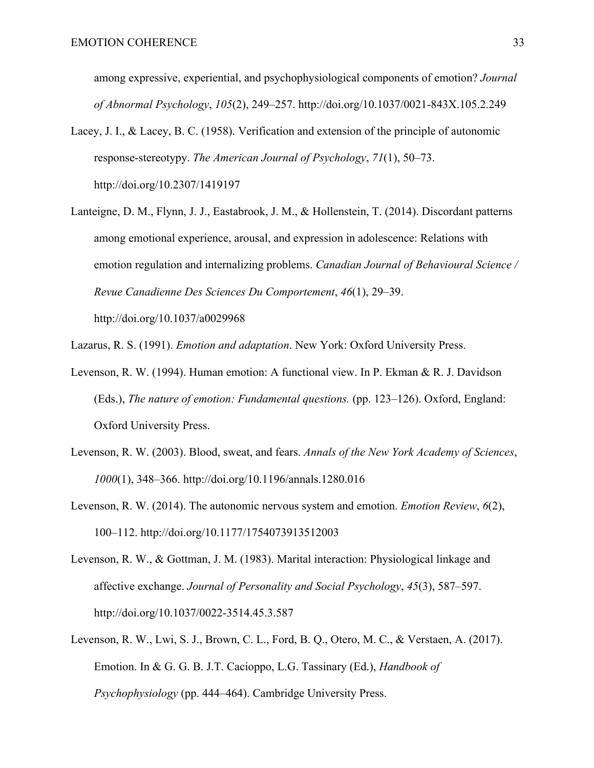among expressive, experiential, and psychophysiological components of emotion? *Journal of Abnormal Psychology*, *105*(2), 249–257. http://doi.org/10.1037/0021-843X.105.2.249

- Lacey, J. I., & Lacey, B. C. (1958). Verification and extension of the principle of autonomic response-stereotypy. *The American Journal of Psychology*, *71*(1), 50–73. http://doi.org/10.2307/1419197
- Lanteigne, D. M., Flynn, J. J., Eastabrook, J. M., & Hollenstein, T. (2014). Discordant patterns among emotional experience, arousal, and expression in adolescence: Relations with emotion regulation and internalizing problems. *Canadian Journal of Behavioural Science / Revue Canadienne Des Sciences Du Comportement*, *46*(1), 29–39. http://doi.org/10.1037/a0029968

Lazarus, R. S. (1991). *Emotion and adaptation*. New York: Oxford University Press.

- Levenson, R. W. (1994). Human emotion: A functional view. In P. Ekman & R. J. Davidson (Eds.), *The nature of emotion: Fundamental questions.* (pp. 123–126). Oxford, England: Oxford University Press.
- Levenson, R. W. (2003). Blood, sweat, and fears. *Annals of the New York Academy of Sciences*, *1000*(1), 348–366. http://doi.org/10.1196/annals.1280.016
- Levenson, R. W. (2014). The autonomic nervous system and emotion. *Emotion Review*, *6*(2), 100–112. http://doi.org/10.1177/1754073913512003
- Levenson, R. W., & Gottman, J. M. (1983). Marital interaction: Physiological linkage and affective exchange. *Journal of Personality and Social Psychology*, *45*(3), 587–597. http://doi.org/10.1037/0022-3514.45.3.587
- Levenson, R. W., Lwi, S. J., Brown, C. L., Ford, B. Q., Otero, M. C., & Verstaen, A. (2017). Emotion. In & G. G. B. J.T. Cacioppo, L.G. Tassinary (Ed.), *Handbook of Psychophysiology* (pp. 444–464). Cambridge University Press.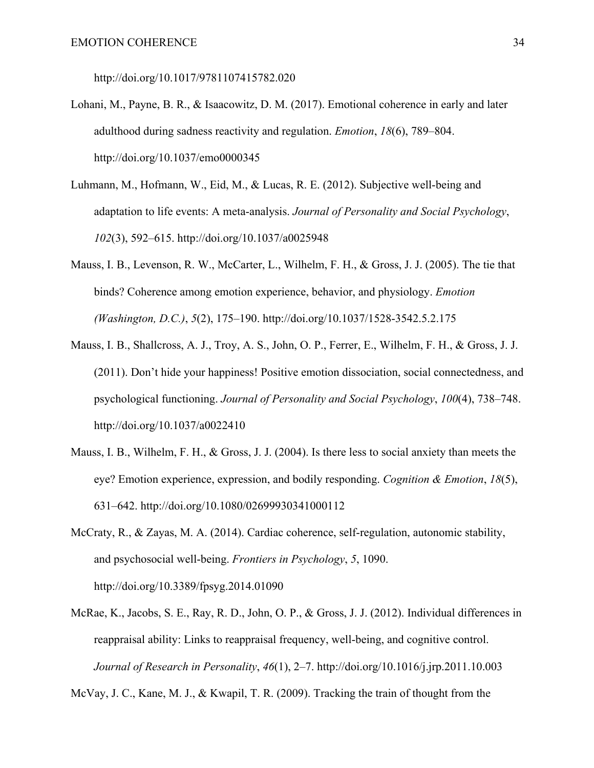http://doi.org/10.1017/9781107415782.020

- Lohani, M., Payne, B. R., & Isaacowitz, D. M. (2017). Emotional coherence in early and later adulthood during sadness reactivity and regulation. *Emotion*, *18*(6), 789–804. http://doi.org/10.1037/emo0000345
- Luhmann, M., Hofmann, W., Eid, M., & Lucas, R. E. (2012). Subjective well-being and adaptation to life events: A meta-analysis. *Journal of Personality and Social Psychology*, *102*(3), 592–615. http://doi.org/10.1037/a0025948
- Mauss, I. B., Levenson, R. W., McCarter, L., Wilhelm, F. H., & Gross, J. J. (2005). The tie that binds? Coherence among emotion experience, behavior, and physiology. *Emotion (Washington, D.C.)*, *5*(2), 175–190. http://doi.org/10.1037/1528-3542.5.2.175
- Mauss, I. B., Shallcross, A. J., Troy, A. S., John, O. P., Ferrer, E., Wilhelm, F. H., & Gross, J. J. (2011). Don't hide your happiness! Positive emotion dissociation, social connectedness, and psychological functioning. *Journal of Personality and Social Psychology*, *100*(4), 738–748. http://doi.org/10.1037/a0022410
- Mauss, I. B., Wilhelm, F. H., & Gross, J. J. (2004). Is there less to social anxiety than meets the eye? Emotion experience, expression, and bodily responding. *Cognition & Emotion*, *18*(5), 631–642. http://doi.org/10.1080/02699930341000112
- McCraty, R., & Zayas, M. A. (2014). Cardiac coherence, self-regulation, autonomic stability, and psychosocial well-being. *Frontiers in Psychology*, *5*, 1090. http://doi.org/10.3389/fpsyg.2014.01090
- McRae, K., Jacobs, S. E., Ray, R. D., John, O. P., & Gross, J. J. (2012). Individual differences in reappraisal ability: Links to reappraisal frequency, well-being, and cognitive control. *Journal of Research in Personality*, *46*(1), 2–7. http://doi.org/10.1016/j.jrp.2011.10.003

McVay, J. C., Kane, M. J., & Kwapil, T. R. (2009). Tracking the train of thought from the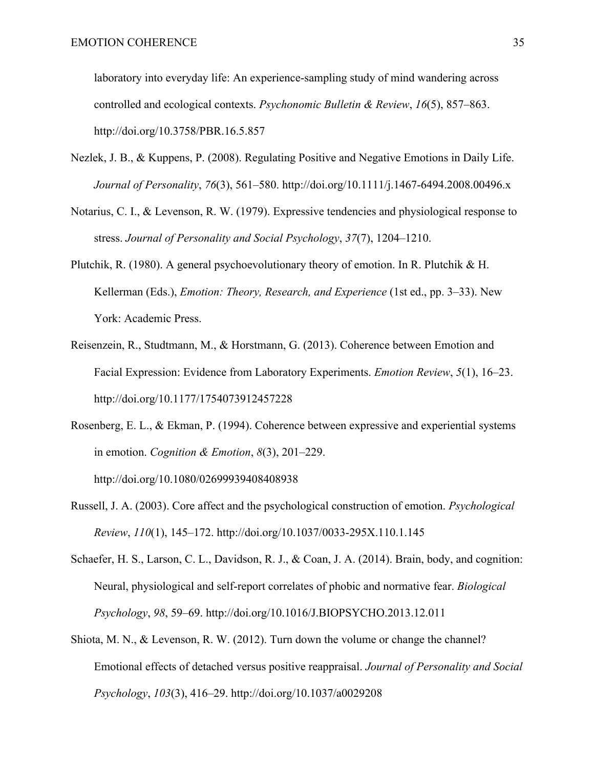laboratory into everyday life: An experience-sampling study of mind wandering across controlled and ecological contexts. *Psychonomic Bulletin & Review*, *16*(5), 857–863. http://doi.org/10.3758/PBR.16.5.857

- Nezlek, J. B., & Kuppens, P. (2008). Regulating Positive and Negative Emotions in Daily Life. *Journal of Personality*, *76*(3), 561–580. http://doi.org/10.1111/j.1467-6494.2008.00496.x
- Notarius, C. I., & Levenson, R. W. (1979). Expressive tendencies and physiological response to stress. *Journal of Personality and Social Psychology*, *37*(7), 1204–1210.
- Plutchik, R. (1980). A general psychoevolutionary theory of emotion. In R. Plutchik & H. Kellerman (Eds.), *Emotion: Theory, Research, and Experience* (1st ed., pp. 3–33). New York: Academic Press.
- Reisenzein, R., Studtmann, M., & Horstmann, G. (2013). Coherence between Emotion and Facial Expression: Evidence from Laboratory Experiments. *Emotion Review*, *5*(1), 16–23. http://doi.org/10.1177/1754073912457228
- Rosenberg, E. L., & Ekman, P. (1994). Coherence between expressive and experiential systems in emotion. *Cognition & Emotion*, *8*(3), 201–229. http://doi.org/10.1080/02699939408408938
- Russell, J. A. (2003). Core affect and the psychological construction of emotion. *Psychological Review*, *110*(1), 145–172. http://doi.org/10.1037/0033-295X.110.1.145
- Schaefer, H. S., Larson, C. L., Davidson, R. J., & Coan, J. A. (2014). Brain, body, and cognition: Neural, physiological and self-report correlates of phobic and normative fear. *Biological Psychology*, *98*, 59–69. http://doi.org/10.1016/J.BIOPSYCHO.2013.12.011
- Shiota, M. N., & Levenson, R. W. (2012). Turn down the volume or change the channel? Emotional effects of detached versus positive reappraisal. *Journal of Personality and Social Psychology*, *103*(3), 416–29. http://doi.org/10.1037/a0029208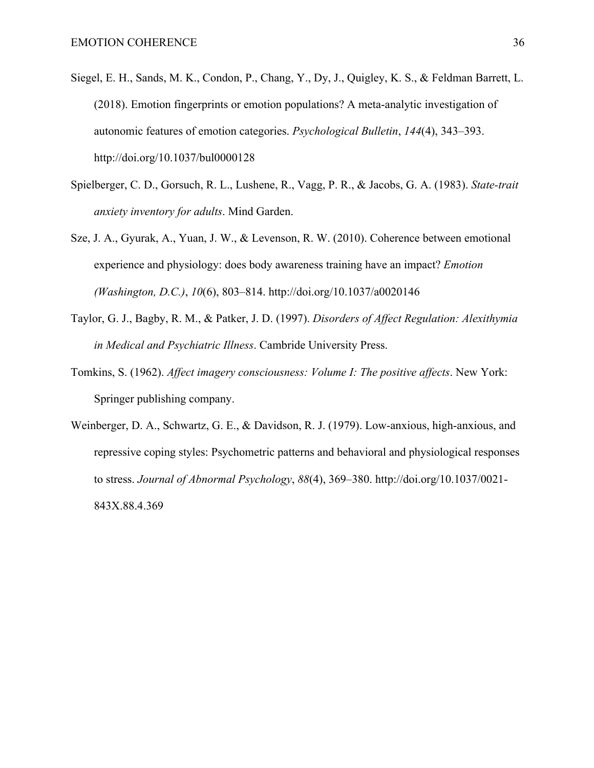- Siegel, E. H., Sands, M. K., Condon, P., Chang, Y., Dy, J., Quigley, K. S., & Feldman Barrett, L. (2018). Emotion fingerprints or emotion populations? A meta-analytic investigation of autonomic features of emotion categories. *Psychological Bulletin*, *144*(4), 343–393. http://doi.org/10.1037/bul0000128
- Spielberger, C. D., Gorsuch, R. L., Lushene, R., Vagg, P. R., & Jacobs, G. A. (1983). *State-trait anxiety inventory for adults*. Mind Garden.
- Sze, J. A., Gyurak, A., Yuan, J. W., & Levenson, R. W. (2010). Coherence between emotional experience and physiology: does body awareness training have an impact? *Emotion (Washington, D.C.)*, *10*(6), 803–814. http://doi.org/10.1037/a0020146
- Taylor, G. J., Bagby, R. M., & Patker, J. D. (1997). *Disorders of Affect Regulation: Alexithymia in Medical and Psychiatric Illness*. Cambride University Press.
- Tomkins, S. (1962). *Affect imagery consciousness: Volume I: The positive affects*. New York: Springer publishing company.
- Weinberger, D. A., Schwartz, G. E., & Davidson, R. J. (1979). Low-anxious, high-anxious, and repressive coping styles: Psychometric patterns and behavioral and physiological responses to stress. *Journal of Abnormal Psychology*, *88*(4), 369–380. http://doi.org/10.1037/0021- 843X.88.4.369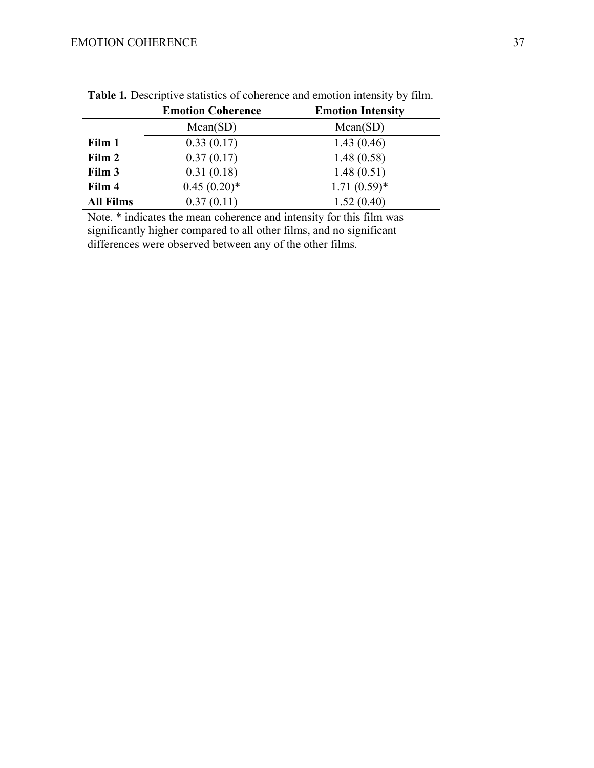# EMOTION COHERENCE 37

|                  | <b>Emotion Coherence</b> | <b>Emotion Intensity</b> |
|------------------|--------------------------|--------------------------|
|                  | Mean(SD)                 | Mean(SD)                 |
| Film 1           | 0.33(0.17)               | 1.43(0.46)               |
| Film 2           | 0.37(0.17)               | 1.48(0.58)               |
| Film 3           | 0.31(0.18)               | 1.48(0.51)               |
| Film 4           | $0.45(0.20)$ *           | $1.71(0.59)$ *           |
| <b>All Films</b> | 0.37(0.11)               | 1.52(0.40)               |

**Table 1***.* Descriptive statistics of coherence and emotion intensity by film.

Note. \* indicates the mean coherence and intensity for this film was significantly higher compared to all other films, and no significant differences were observed between any of the other films.